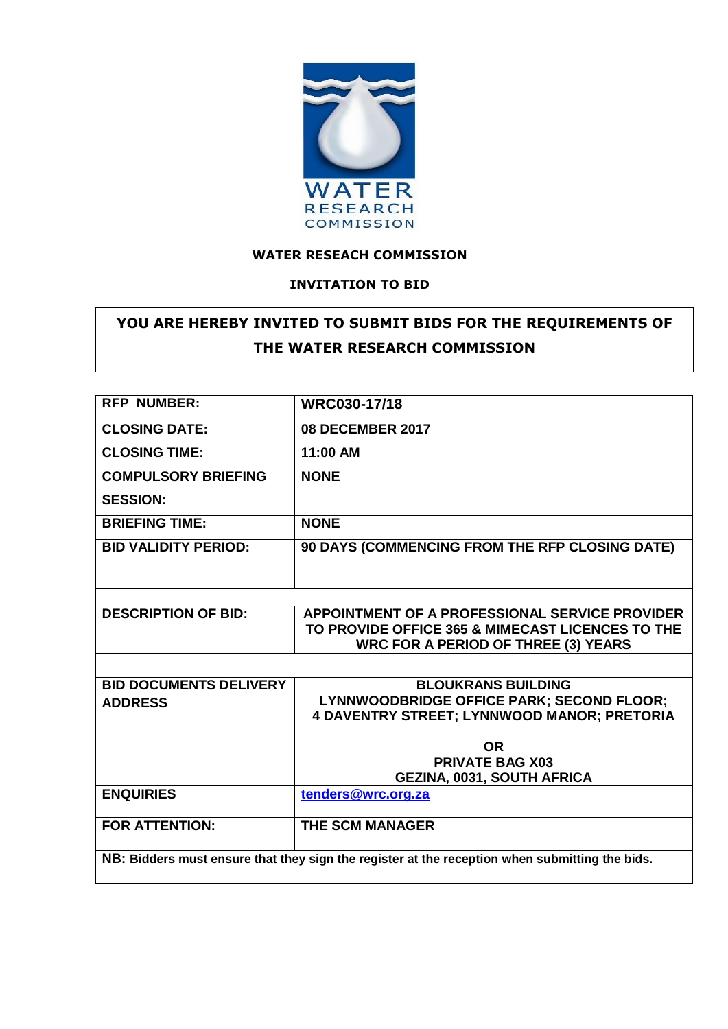

### **WATER RESEACH COMMISSION**

#### **INVITATION TO BID**

# **YOU ARE HEREBY INVITED TO SUBMIT BIDS FOR THE REQUIREMENTS OF THE WATER RESEARCH COMMISSION**

| <b>RFP NUMBER:</b>                                                                             |                                                    |  |
|------------------------------------------------------------------------------------------------|----------------------------------------------------|--|
|                                                                                                | WRC030-17/18                                       |  |
| <b>CLOSING DATE:</b>                                                                           | <b>08 DECEMBER 2017</b>                            |  |
| <b>CLOSING TIME:</b>                                                                           | 11:00 AM                                           |  |
| <b>COMPULSORY BRIEFING</b>                                                                     | <b>NONE</b>                                        |  |
| <b>SESSION:</b>                                                                                |                                                    |  |
| <b>BRIEFING TIME:</b>                                                                          | <b>NONE</b>                                        |  |
| <b>BID VALIDITY PERIOD:</b>                                                                    | 90 DAYS (COMMENCING FROM THE RFP CLOSING DATE)     |  |
|                                                                                                |                                                    |  |
|                                                                                                |                                                    |  |
| <b>DESCRIPTION OF BID:</b>                                                                     | APPOINTMENT OF A PROFESSIONAL SERVICE PROVIDER     |  |
|                                                                                                | TO PROVIDE OFFICE 365 & MIMECAST LICENCES TO THE   |  |
|                                                                                                | <b>WRC FOR A PERIOD OF THREE (3) YEARS</b>         |  |
|                                                                                                |                                                    |  |
| <b>BID DOCUMENTS DELIVERY</b>                                                                  | <b>BLOUKRANS BUILDING</b>                          |  |
| <b>ADDRESS</b>                                                                                 | LYNNWOODBRIDGE OFFICE PARK; SECOND FLOOR;          |  |
|                                                                                                | <b>4 DAVENTRY STREET; LYNNWOOD MANOR; PRETORIA</b> |  |
|                                                                                                | <b>OR</b>                                          |  |
|                                                                                                | <b>PRIVATE BAG X03</b>                             |  |
|                                                                                                | <b>GEZINA, 0031, SOUTH AFRICA</b>                  |  |
| <b>ENQUIRIES</b>                                                                               | tenders@wrc.org.za                                 |  |
| <b>FOR ATTENTION:</b>                                                                          | <b>THE SCM MANAGER</b>                             |  |
|                                                                                                |                                                    |  |
| NB: Bidders must ensure that they sign the register at the reception when submitting the bids. |                                                    |  |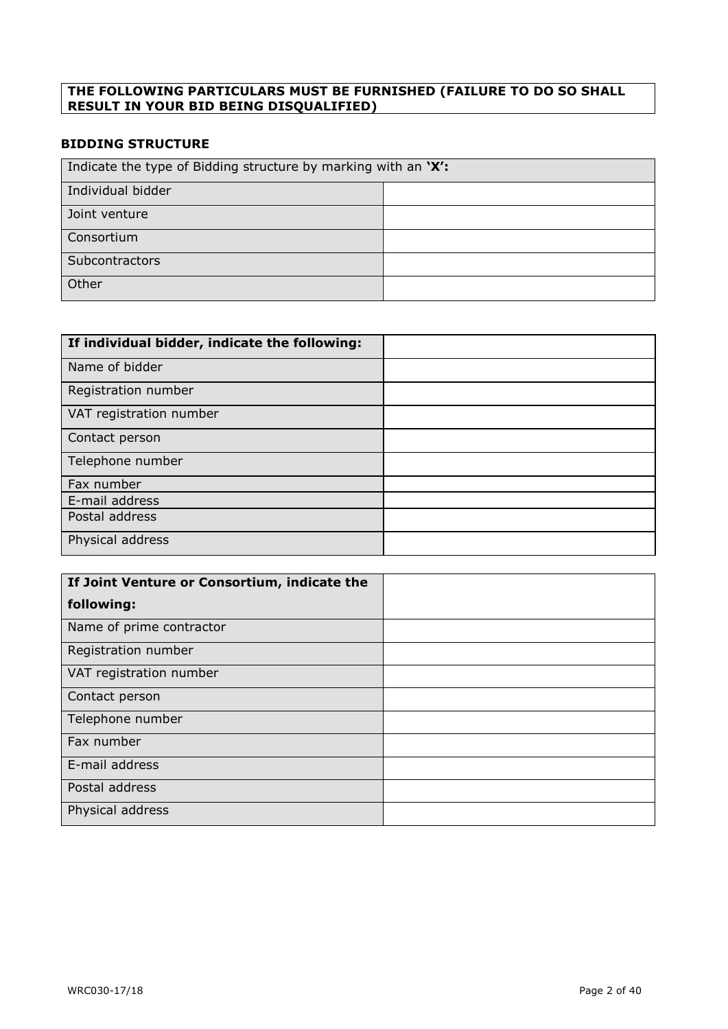#### **THE FOLLOWING PARTICULARS MUST BE FURNISHED (FAILURE TO DO SO SHALL RESULT IN YOUR BID BEING DISQUALIFIED)**

### **BIDDING STRUCTURE**

| Indicate the type of Bidding structure by marking with an 'X': |  |
|----------------------------------------------------------------|--|
| Individual bidder                                              |  |
| Joint venture                                                  |  |
| Consortium                                                     |  |
| Subcontractors                                                 |  |
| Other                                                          |  |

| If individual bidder, indicate the following: |  |
|-----------------------------------------------|--|
| Name of bidder                                |  |
| Registration number                           |  |
| VAT registration number                       |  |
| Contact person                                |  |
| Telephone number                              |  |
| Fax number                                    |  |
| E-mail address                                |  |
| Postal address                                |  |
| Physical address                              |  |

| If Joint Venture or Consortium, indicate the |  |
|----------------------------------------------|--|
| following:                                   |  |
| Name of prime contractor                     |  |
| Registration number                          |  |
| VAT registration number                      |  |
| Contact person                               |  |
| Telephone number                             |  |
| Fax number                                   |  |
| E-mail address                               |  |
| Postal address                               |  |
| Physical address                             |  |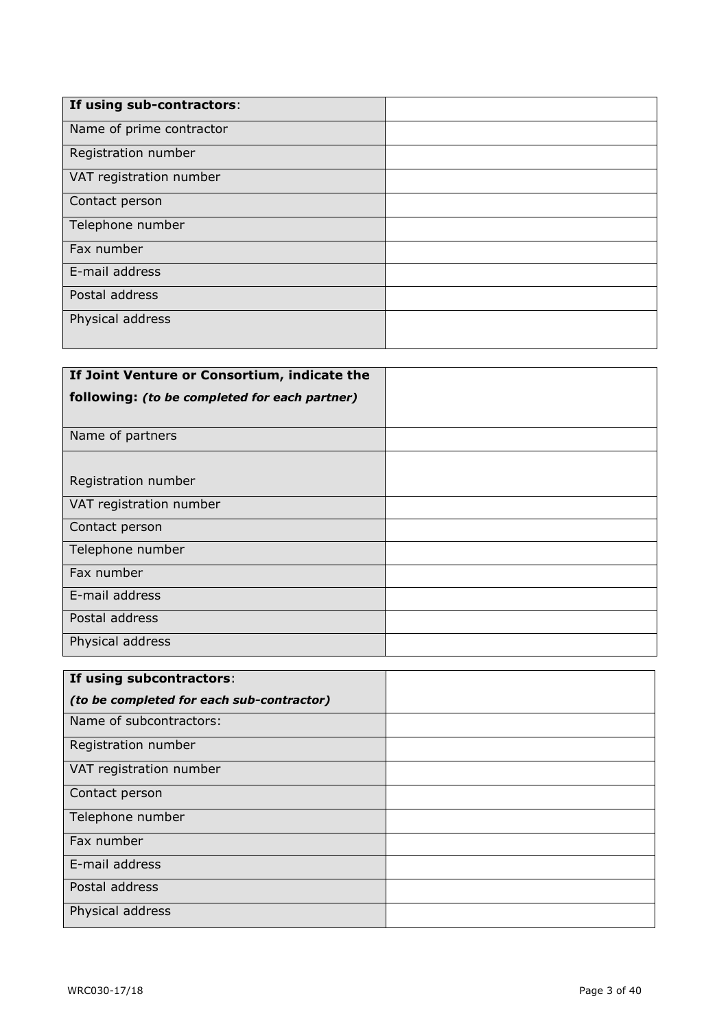| If using sub-contractors: |  |
|---------------------------|--|
| Name of prime contractor  |  |
| Registration number       |  |
| VAT registration number   |  |
| Contact person            |  |
| Telephone number          |  |
| Fax number                |  |
| E-mail address            |  |
| Postal address            |  |
| Physical address          |  |
|                           |  |

| If Joint Venture or Consortium, indicate the  |  |
|-----------------------------------------------|--|
| following: (to be completed for each partner) |  |
|                                               |  |
| Name of partners                              |  |
|                                               |  |
| Registration number                           |  |
| VAT registration number                       |  |
| Contact person                                |  |
| Telephone number                              |  |
| Fax number                                    |  |
| E-mail address                                |  |
| Postal address                                |  |
| Physical address                              |  |

| If using subcontractors:                  |  |
|-------------------------------------------|--|
| (to be completed for each sub-contractor) |  |
| Name of subcontractors:                   |  |
| Registration number                       |  |
| VAT registration number                   |  |
| Contact person                            |  |
| Telephone number                          |  |
| Fax number                                |  |
| E-mail address                            |  |
| Postal address                            |  |
| Physical address                          |  |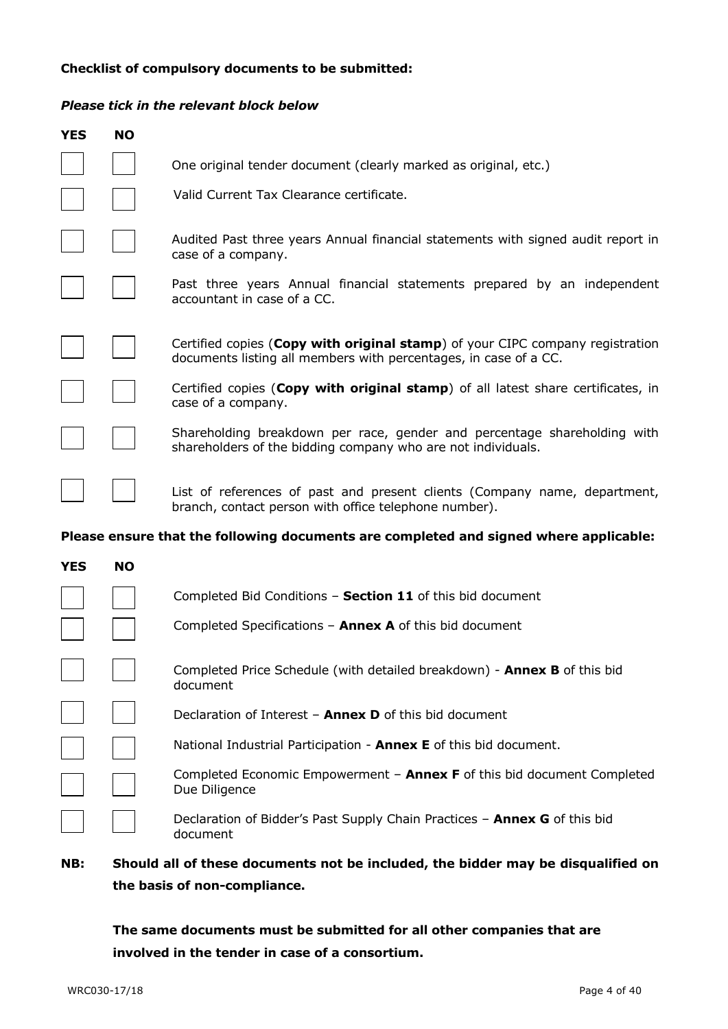#### **Checklist of compulsory documents to be submitted:**

#### *Please tick in the relevant block below*

| <b>YES</b> | <b>NO</b> |                                                                                                                                                   |
|------------|-----------|---------------------------------------------------------------------------------------------------------------------------------------------------|
|            |           | One original tender document (clearly marked as original, etc.)                                                                                   |
|            |           | Valid Current Tax Clearance certificate.                                                                                                          |
|            |           | Audited Past three years Annual financial statements with signed audit report in<br>case of a company.                                            |
|            |           | Past three years Annual financial statements prepared by an independent<br>accountant in case of a CC.                                            |
|            |           | Certified copies (Copy with original stamp) of your CIPC company registration<br>documents listing all members with percentages, in case of a CC. |
|            |           | Certified copies (Copy with original stamp) of all latest share certificates, in<br>case of a company.                                            |
|            |           | Shareholding breakdown per race, gender and percentage shareholding with<br>shareholders of the bidding company who are not individuals.          |
|            |           | List of references of past and present clients (Company name, department,<br>branch, contact person with office telephone number).                |
|            |           | Please ensure that the following documents are completed and signed where applicable:                                                             |
| <b>YES</b> | <b>NO</b> |                                                                                                                                                   |
|            |           | Completed Bid Conditions - Section 11 of this bid document                                                                                        |
|            |           | Completed Specifications $-$ Annex A of this bid document                                                                                         |
|            |           |                                                                                                                                                   |

| Completed Price Schedule (with detailed breakdown) - Annex B of this bid |  |
|--------------------------------------------------------------------------|--|
| document                                                                 |  |

Declaration of Interest – **Annex D** of this bid document

National Industrial Participation - **Annex E** of this bid document.

Completed Economic Empowerment – **Annex F** of this bid document Completed Due Diligence

Declaration of Bidder's Past Supply Chain Practices – **Annex G** of this bid document

### **NB: Should all of these documents not be included, the bidder may be disqualified on the basis of non-compliance.**

**The same documents must be submitted for all other companies that are involved in the tender in case of a consortium.**

 $\mathbf{1}$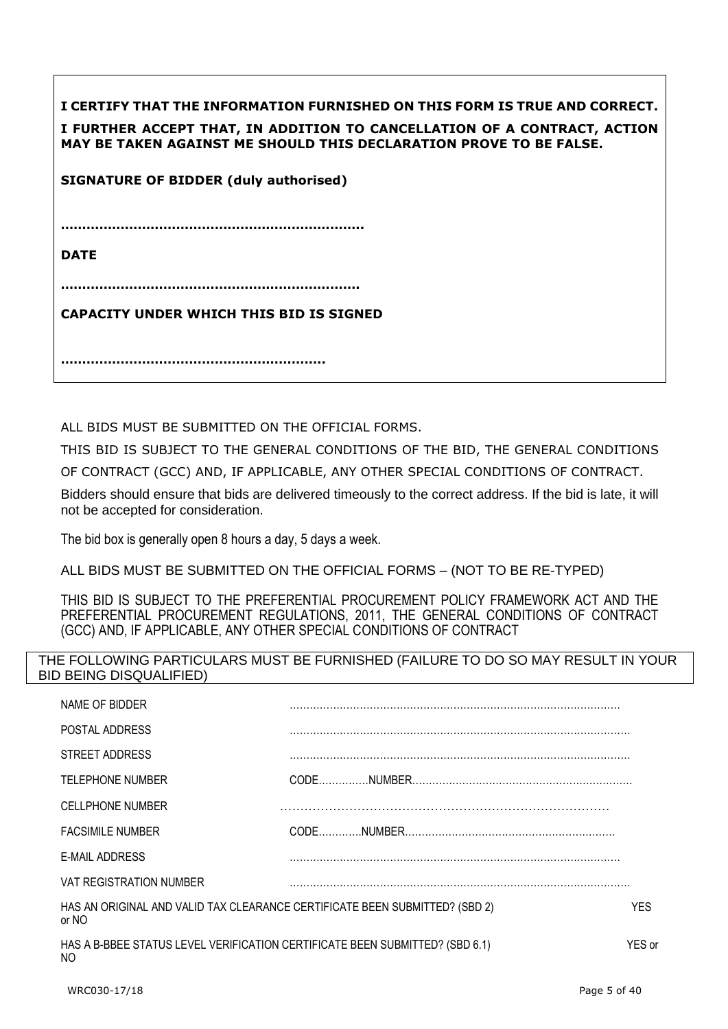| I CERTIFY THAT THE INFORMATION FURNISHED ON THIS FORM IS TRUE AND CORRECT.<br>I FURTHER ACCEPT THAT, IN ADDITION TO CANCELLATION OF A CONTRACT, ACTION<br>MAY BE TAKEN AGAINST ME SHOULD THIS DECLARATION PROVE TO BE FALSE. |
|------------------------------------------------------------------------------------------------------------------------------------------------------------------------------------------------------------------------------|
| <b>SIGNATURE OF BIDDER (duly authorised)</b>                                                                                                                                                                                 |
|                                                                                                                                                                                                                              |
| <b>DATE</b>                                                                                                                                                                                                                  |
|                                                                                                                                                                                                                              |
| <b>CAPACITY UNDER WHICH THIS BID IS SIGNED</b>                                                                                                                                                                               |
|                                                                                                                                                                                                                              |

ALL BIDS MUST BE SUBMITTED ON THE OFFICIAL FORMS.

THIS BID IS SUBJECT TO THE GENERAL CONDITIONS OF THE BID, THE GENERAL CONDITIONS OF CONTRACT (GCC) AND, IF APPLICABLE, ANY OTHER SPECIAL CONDITIONS OF CONTRACT.

Bidders should ensure that bids are delivered timeously to the correct address. If the bid is late, it will not be accepted for consideration.

The bid box is generally open 8 hours a day, 5 days a week.

ALL BIDS MUST BE SUBMITTED ON THE OFFICIAL FORMS – (NOT TO BE RE-TYPED)

THIS BID IS SUBJECT TO THE PREFERENTIAL PROCUREMENT POLICY FRAMEWORK ACT AND THE PREFERENTIAL PROCUREMENT REGULATIONS, 2011, THE GENERAL CONDITIONS OF CONTRACT (GCC) AND, IF APPLICABLE, ANY OTHER SPECIAL CONDITIONS OF CONTRACT

### THE FOLLOWING PARTICULARS MUST BE FURNISHED (FAILURE TO DO SO MAY RESULT IN YOUR BID BEING DISQUALIFIED)

| NAME OF BIDDER                                                                       |        |
|--------------------------------------------------------------------------------------|--------|
| POSTAL ADDRESS                                                                       |        |
| STREET ADDRESS                                                                       |        |
| <b>TELEPHONE NUMBER</b>                                                              |        |
| <b>CELLPHONE NUMBER</b>                                                              |        |
| <b>FACSIMILE NUMBER</b>                                                              |        |
| E-MAIL ADDRESS                                                                       |        |
| <b>VAT REGISTRATION NUMBER</b>                                                       |        |
| HAS AN ORIGINAL AND VALID TAX CLEARANCE CERTIFICATE BEEN SUBMITTED? (SBD 2)<br>or NO | YES.   |
| HAS A B-BBEE STATUS LEVEL VERIFICATION CERTIFICATE BEEN SUBMITTED? (SBD 6.1)<br>NO   | YES or |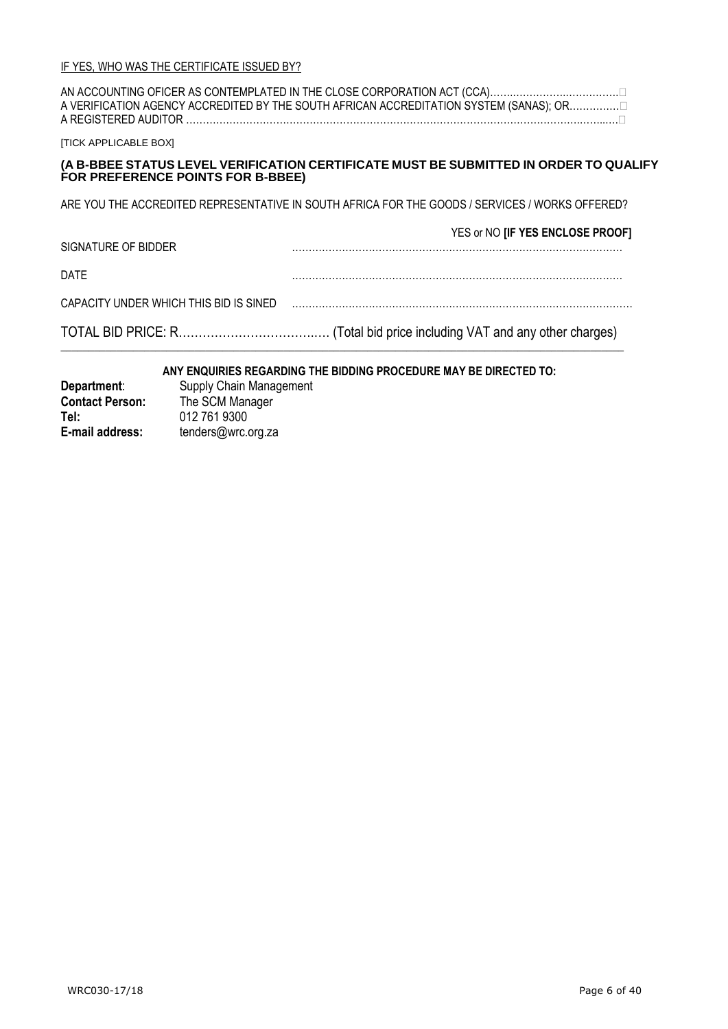| A REGISTERED AUDITOR                                                                                                       | A VERIFICATION AGENCY ACCREDITED BY THE SOUTH AFRICAN ACCREDITATION SYSTEM (SANAS); OR |  |
|----------------------------------------------------------------------------------------------------------------------------|----------------------------------------------------------------------------------------|--|
| <b>[TICK APPLICABLE BOX]</b>                                                                                               |                                                                                        |  |
| (A B-BBEE STATUS LEVEL VERIFICATION CERTIFICATE MUST BE SUBMITTED IN ORDER TO QUALIFY<br>FOR PREFERENCE POINTS FOR B-BBEE) |                                                                                        |  |
| ARE YOU THE ACCREDITED REPRESENTATIVE IN SOUTH AFRICA FOR THE GOODS / SERVICES / WORKS OFFERED?                            |                                                                                        |  |
| SIGNATURE OF BIDDER                                                                                                        | YES or NO [IF YES ENCLOSE PROOF]                                                       |  |
| DATE                                                                                                                       |                                                                                        |  |
| CAPACITY UNDER WHICH THIS BID IS SINED                                                                                     |                                                                                        |  |
|                                                                                                                            |                                                                                        |  |

### **ANY ENQUIRIES REGARDING THE BIDDING PROCEDURE MAY BE DIRECTED TO:**

| Department:            | Supply Chain Management |
|------------------------|-------------------------|
| <b>Contact Person:</b> | The SCM Manager         |
| Tel:                   | 012 761 9300            |
| E-mail address:        | tenders@wrc.org.za      |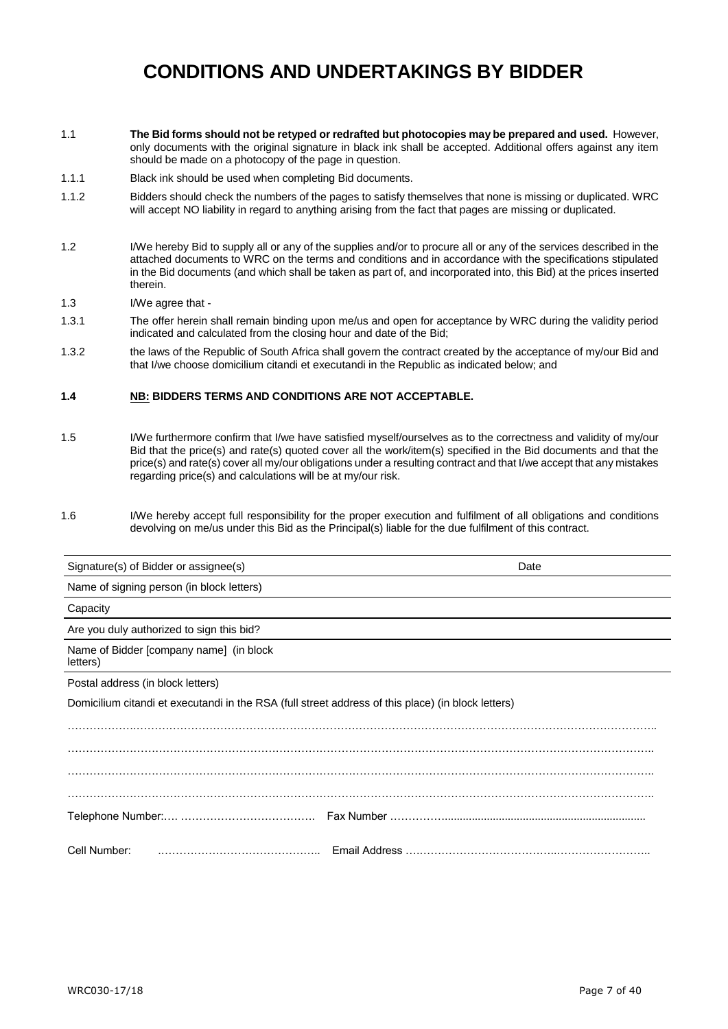# **CONDITIONS AND UNDERTAKINGS BY BIDDER**

- 1.1 **The Bid forms should not be retyped or redrafted but photocopies may be prepared and used.** However, only documents with the original signature in black ink shall be accepted. Additional offers against any item should be made on a photocopy of the page in question.
- 1.1.1 Black ink should be used when completing Bid documents.
- 1.1.2 Bidders should check the numbers of the pages to satisfy themselves that none is missing or duplicated. WRC will accept NO liability in regard to anything arising from the fact that pages are missing or duplicated.
- 1.2 I/We hereby Bid to supply all or any of the supplies and/or to procure all or any of the services described in the attached documents to WRC on the terms and conditions and in accordance with the specifications stipulated in the Bid documents (and which shall be taken as part of, and incorporated into, this Bid) at the prices inserted therein.
- 1.3 I/We agree that -
- 1.3.1 The offer herein shall remain binding upon me/us and open for acceptance by WRC during the validity period indicated and calculated from the closing hour and date of the Bid;
- 1.3.2 the laws of the Republic of South Africa shall govern the contract created by the acceptance of my/our Bid and that I/we choose domicilium citandi et executandi in the Republic as indicated below; and

#### **1.4 NB: BIDDERS TERMS AND CONDITIONS ARE NOT ACCEPTABLE.**

- 1.5 I/We furthermore confirm that I/we have satisfied myself/ourselves as to the correctness and validity of my/our Bid that the price(s) and rate(s) quoted cover all the work/item(s) specified in the Bid documents and that the price(s) and rate(s) cover all my/our obligations under a resulting contract and that I/we accept that any mistakes regarding price(s) and calculations will be at my/our risk.
- 1.6 I/We hereby accept full responsibility for the proper execution and fulfilment of all obligations and conditions devolving on me/us under this Bid as the Principal(s) liable for the due fulfilment of this contract.

| Signature(s) of Bidder or assignee(s)                                                              | Date |
|----------------------------------------------------------------------------------------------------|------|
| Name of signing person (in block letters)                                                          |      |
| Capacity                                                                                           |      |
| Are you duly authorized to sign this bid?                                                          |      |
| Name of Bidder [company name] (in block<br>letters)                                                |      |
| Postal address (in block letters)                                                                  |      |
| Domicilium citandi et executandi in the RSA (full street address of this place) (in block letters) |      |
|                                                                                                    |      |
|                                                                                                    |      |
|                                                                                                    |      |
|                                                                                                    |      |
|                                                                                                    |      |
| Cell Number:                                                                                       |      |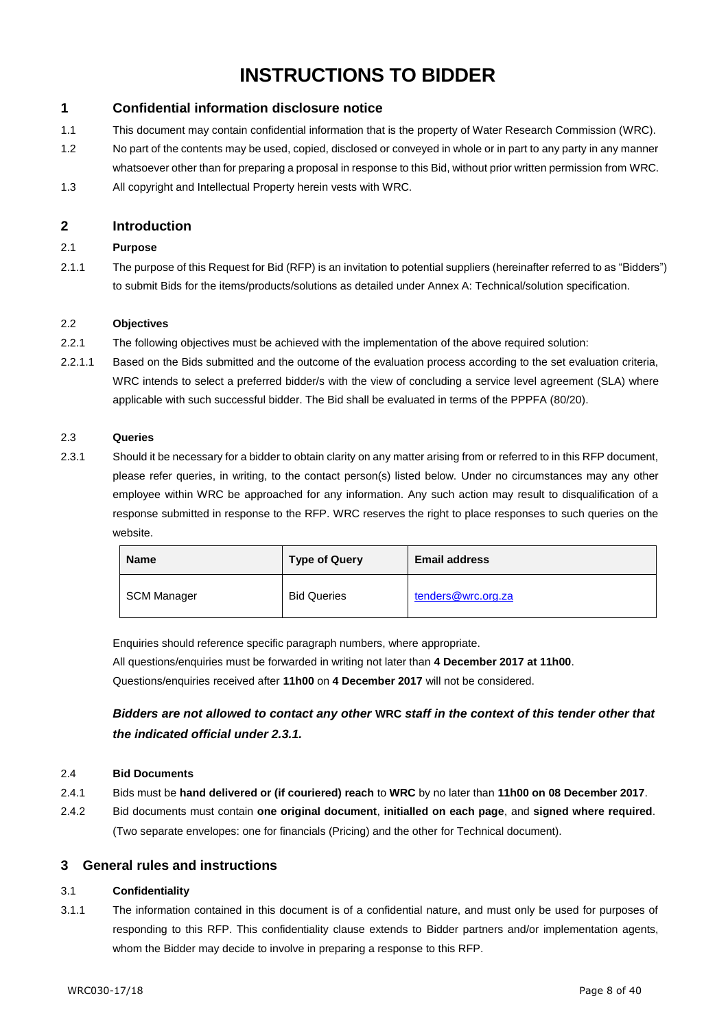# **INSTRUCTIONS TO BIDDER**

#### **1 Confidential information disclosure notice**

- 1.1 This document may contain confidential information that is the property of Water Research Commission (WRC).
- 1.2 No part of the contents may be used, copied, disclosed or conveyed in whole or in part to any party in any manner whatsoever other than for preparing a proposal in response to this Bid, without prior written permission from WRC.
- 1.3 All copyright and Intellectual Property herein vests with WRC.

#### **2 Introduction**

#### 2.1 **Purpose**

2.1.1 The purpose of this Request for Bid (RFP) is an invitation to potential suppliers (hereinafter referred to as "Bidders") to submit Bids for the items/products/solutions as detailed under Annex A: Technical/solution specification.

#### 2.2 **Objectives**

- 2.2.1 The following objectives must be achieved with the implementation of the above required solution:
- 2.2.1.1 Based on the Bids submitted and the outcome of the evaluation process according to the set evaluation criteria, WRC intends to select a preferred bidder/s with the view of concluding a service level agreement (SLA) where applicable with such successful bidder. The Bid shall be evaluated in terms of the PPPFA (80/20).

#### 2.3 **Queries**

2.3.1 Should it be necessary for a bidder to obtain clarity on any matter arising from or referred to in this RFP document, please refer queries, in writing, to the contact person(s) listed below. Under no circumstances may any other employee within WRC be approached for any information. Any such action may result to disqualification of a response submitted in response to the RFP. WRC reserves the right to place responses to such queries on the website.

| <b>Name</b> | <b>Type of Query</b> | <b>Email address</b> |
|-------------|----------------------|----------------------|
| SCM Manager | <b>Bid Queries</b>   | tenders@wrc.org.za   |

Enquiries should reference specific paragraph numbers, where appropriate.

All questions/enquiries must be forwarded in writing not later than **4 December 2017 at 11h00**. Questions/enquiries received after **11h00** on **4 December 2017** will not be considered.

*Bidders are not allowed to contact any other* **WRC** *staff in the context of this tender other that the indicated official under 2.3.1.*

#### 2.4 **Bid Documents**

- 2.4.1 Bids must be **hand delivered or (if couriered) reach** to **WRC** by no later than **11h00 on 08 December 2017**.
- 2.4.2 Bid documents must contain **one original document**, **initialled on each page**, and **signed where required**. (Two separate envelopes: one for financials (Pricing) and the other for Technical document).

#### **3 General rules and instructions**

#### 3.1 **Confidentiality**

3.1.1 The information contained in this document is of a confidential nature, and must only be used for purposes of responding to this RFP. This confidentiality clause extends to Bidder partners and/or implementation agents, whom the Bidder may decide to involve in preparing a response to this RFP.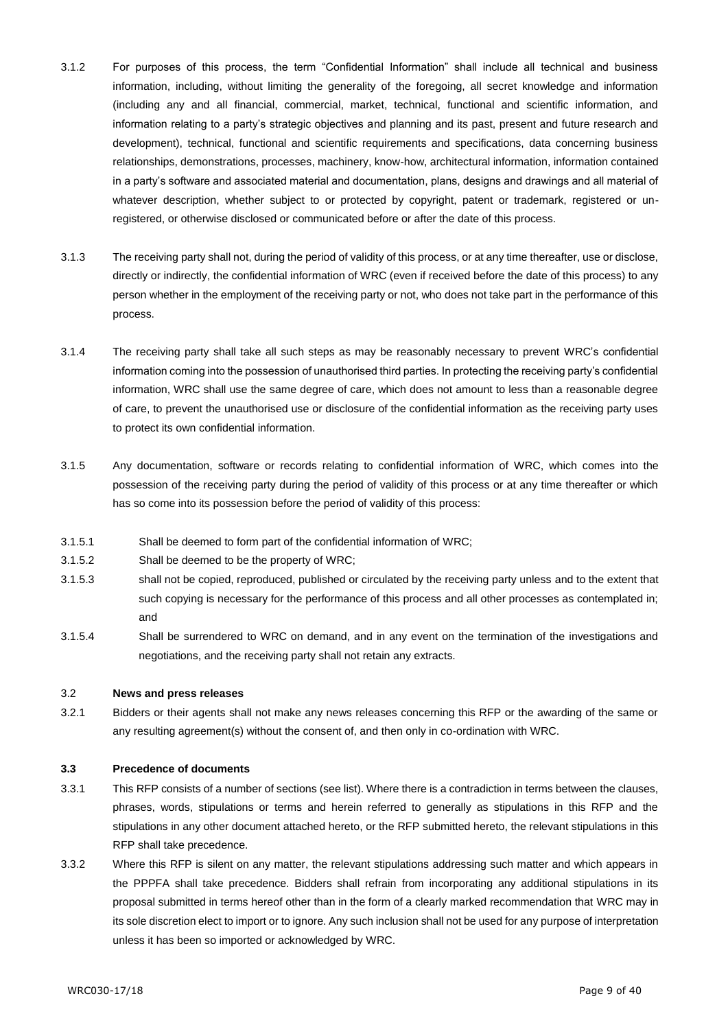- 3.1.2 For purposes of this process, the term "Confidential Information" shall include all technical and business information, including, without limiting the generality of the foregoing, all secret knowledge and information (including any and all financial, commercial, market, technical, functional and scientific information, and information relating to a party's strategic objectives and planning and its past, present and future research and development), technical, functional and scientific requirements and specifications, data concerning business relationships, demonstrations, processes, machinery, know-how, architectural information, information contained in a party's software and associated material and documentation, plans, designs and drawings and all material of whatever description, whether subject to or protected by copyright, patent or trademark, registered or unregistered, or otherwise disclosed or communicated before or after the date of this process.
- 3.1.3 The receiving party shall not, during the period of validity of this process, or at any time thereafter, use or disclose, directly or indirectly, the confidential information of WRC (even if received before the date of this process) to any person whether in the employment of the receiving party or not, who does not take part in the performance of this process.
- 3.1.4 The receiving party shall take all such steps as may be reasonably necessary to prevent WRC's confidential information coming into the possession of unauthorised third parties. In protecting the receiving party's confidential information, WRC shall use the same degree of care, which does not amount to less than a reasonable degree of care, to prevent the unauthorised use or disclosure of the confidential information as the receiving party uses to protect its own confidential information.
- 3.1.5 Any documentation, software or records relating to confidential information of WRC, which comes into the possession of the receiving party during the period of validity of this process or at any time thereafter or which has so come into its possession before the period of validity of this process:
- 3.1.5.1 Shall be deemed to form part of the confidential information of WRC;
- 3.1.5.2 Shall be deemed to be the property of WRC;
- 3.1.5.3 shall not be copied, reproduced, published or circulated by the receiving party unless and to the extent that such copying is necessary for the performance of this process and all other processes as contemplated in; and
- 3.1.5.4 Shall be surrendered to WRC on demand, and in any event on the termination of the investigations and negotiations, and the receiving party shall not retain any extracts.

#### 3.2 **News and press releases**

3.2.1 Bidders or their agents shall not make any news releases concerning this RFP or the awarding of the same or any resulting agreement(s) without the consent of, and then only in co-ordination with WRC.

#### **3.3 Precedence of documents**

- 3.3.1 This RFP consists of a number of sections (see list). Where there is a contradiction in terms between the clauses, phrases, words, stipulations or terms and herein referred to generally as stipulations in this RFP and the stipulations in any other document attached hereto, or the RFP submitted hereto, the relevant stipulations in this RFP shall take precedence.
- 3.3.2 Where this RFP is silent on any matter, the relevant stipulations addressing such matter and which appears in the PPPFA shall take precedence. Bidders shall refrain from incorporating any additional stipulations in its proposal submitted in terms hereof other than in the form of a clearly marked recommendation that WRC may in its sole discretion elect to import or to ignore. Any such inclusion shall not be used for any purpose of interpretation unless it has been so imported or acknowledged by WRC.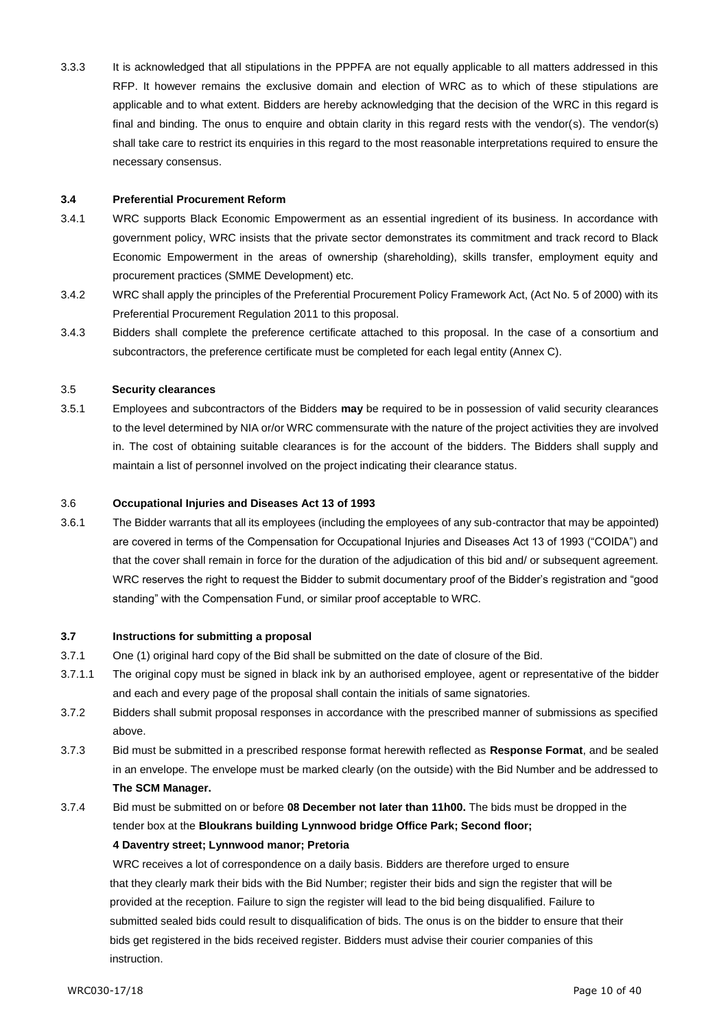3.3.3 It is acknowledged that all stipulations in the PPPFA are not equally applicable to all matters addressed in this RFP. It however remains the exclusive domain and election of WRC as to which of these stipulations are applicable and to what extent. Bidders are hereby acknowledging that the decision of the WRC in this regard is final and binding. The onus to enquire and obtain clarity in this regard rests with the vendor(s). The vendor(s) shall take care to restrict its enquiries in this regard to the most reasonable interpretations required to ensure the necessary consensus.

#### **3.4 Preferential Procurement Reform**

- 3.4.1 WRC supports Black Economic Empowerment as an essential ingredient of its business. In accordance with government policy, WRC insists that the private sector demonstrates its commitment and track record to Black Economic Empowerment in the areas of ownership (shareholding), skills transfer, employment equity and procurement practices (SMME Development) etc.
- 3.4.2 WRC shall apply the principles of the Preferential Procurement Policy Framework Act, (Act No. 5 of 2000) with its Preferential Procurement Regulation 2011 to this proposal.
- 3.4.3 Bidders shall complete the preference certificate attached to this proposal. In the case of a consortium and subcontractors, the preference certificate must be completed for each legal entity (Annex C).

#### 3.5 **Security clearances**

3.5.1 Employees and subcontractors of the Bidders **may** be required to be in possession of valid security clearances to the level determined by NIA or/or WRC commensurate with the nature of the project activities they are involved in. The cost of obtaining suitable clearances is for the account of the bidders. The Bidders shall supply and maintain a list of personnel involved on the project indicating their clearance status.

#### 3.6 **Occupational Injuries and Diseases Act 13 of 1993**

3.6.1 The Bidder warrants that all its employees (including the employees of any sub-contractor that may be appointed) are covered in terms of the Compensation for Occupational Injuries and Diseases Act 13 of 1993 ("COIDA") and that the cover shall remain in force for the duration of the adjudication of this bid and/ or subsequent agreement. WRC reserves the right to request the Bidder to submit documentary proof of the Bidder's registration and "good standing" with the Compensation Fund, or similar proof acceptable to WRC.

#### **3.7 Instructions for submitting a proposal**

- 3.7.1 One (1) original hard copy of the Bid shall be submitted on the date of closure of the Bid.
- 3.7.1.1 The original copy must be signed in black ink by an authorised employee, agent or representative of the bidder and each and every page of the proposal shall contain the initials of same signatories.
- 3.7.2 Bidders shall submit proposal responses in accordance with the prescribed manner of submissions as specified above.
- 3.7.3 Bid must be submitted in a prescribed response format herewith reflected as **Response Format**, and be sealed in an envelope. The envelope must be marked clearly (on the outside) with the Bid Number and be addressed to **The SCM Manager.**
- 3.7.4 Bid must be submitted on or before **08 December not later than 11h00.** The bids must be dropped in the tender box at the **Bloukrans building Lynnwood bridge Office Park; Second floor;**

#### **4 Daventry street; Lynnwood manor; Pretoria**

WRC receives a lot of correspondence on a daily basis. Bidders are therefore urged to ensure that they clearly mark their bids with the Bid Number; register their bids and sign the register that will be provided at the reception. Failure to sign the register will lead to the bid being disqualified. Failure to submitted sealed bids could result to disqualification of bids. The onus is on the bidder to ensure that their bids get registered in the bids received register. Bidders must advise their courier companies of this instruction.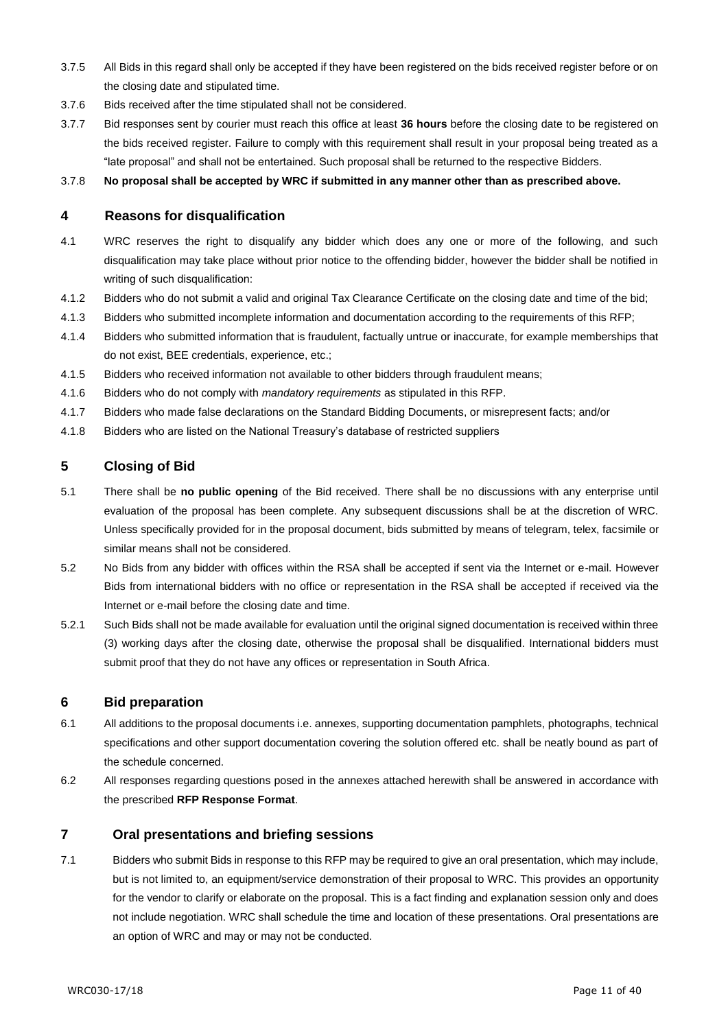- 3.7.5 All Bids in this regard shall only be accepted if they have been registered on the bids received register before or on the closing date and stipulated time.
- 3.7.6 Bids received after the time stipulated shall not be considered.
- 3.7.7 Bid responses sent by courier must reach this office at least **36 hours** before the closing date to be registered on the bids received register. Failure to comply with this requirement shall result in your proposal being treated as a "late proposal" and shall not be entertained. Such proposal shall be returned to the respective Bidders.

3.7.8 **No proposal shall be accepted by WRC if submitted in any manner other than as prescribed above.**

#### **4 Reasons for disqualification**

- 4.1 WRC reserves the right to disqualify any bidder which does any one or more of the following, and such disqualification may take place without prior notice to the offending bidder, however the bidder shall be notified in writing of such disqualification:
- 4.1.2 Bidders who do not submit a valid and original Tax Clearance Certificate on the closing date and time of the bid;
- 4.1.3 Bidders who submitted incomplete information and documentation according to the requirements of this RFP;
- 4.1.4 Bidders who submitted information that is fraudulent, factually untrue or inaccurate, for example memberships that do not exist, BEE credentials, experience, etc.;
- 4.1.5 Bidders who received information not available to other bidders through fraudulent means;
- 4.1.6 Bidders who do not comply with *mandatory requirements* as stipulated in this RFP.
- 4.1.7 Bidders who made false declarations on the Standard Bidding Documents, or misrepresent facts; and/or
- 4.1.8 Bidders who are listed on the National Treasury's database of restricted suppliers

#### **5 Closing of Bid**

- 5.1 There shall be **no public opening** of the Bid received. There shall be no discussions with any enterprise until evaluation of the proposal has been complete. Any subsequent discussions shall be at the discretion of WRC. Unless specifically provided for in the proposal document, bids submitted by means of telegram, telex, facsimile or similar means shall not be considered.
- 5.2 No Bids from any bidder with offices within the RSA shall be accepted if sent via the Internet or e-mail. However Bids from international bidders with no office or representation in the RSA shall be accepted if received via the Internet or e-mail before the closing date and time.
- 5.2.1 Such Bids shall not be made available for evaluation until the original signed documentation is received within three (3) working days after the closing date, otherwise the proposal shall be disqualified. International bidders must submit proof that they do not have any offices or representation in South Africa.

#### **6 Bid preparation**

- 6.1 All additions to the proposal documents i.e. annexes, supporting documentation pamphlets, photographs, technical specifications and other support documentation covering the solution offered etc. shall be neatly bound as part of the schedule concerned.
- 6.2 All responses regarding questions posed in the annexes attached herewith shall be answered in accordance with the prescribed **RFP Response Format**.

#### **7 Oral presentations and briefing sessions**

7.1 Bidders who submit Bids in response to this RFP may be required to give an oral presentation, which may include, but is not limited to, an equipment/service demonstration of their proposal to WRC. This provides an opportunity for the vendor to clarify or elaborate on the proposal. This is a fact finding and explanation session only and does not include negotiation. WRC shall schedule the time and location of these presentations. Oral presentations are an option of WRC and may or may not be conducted.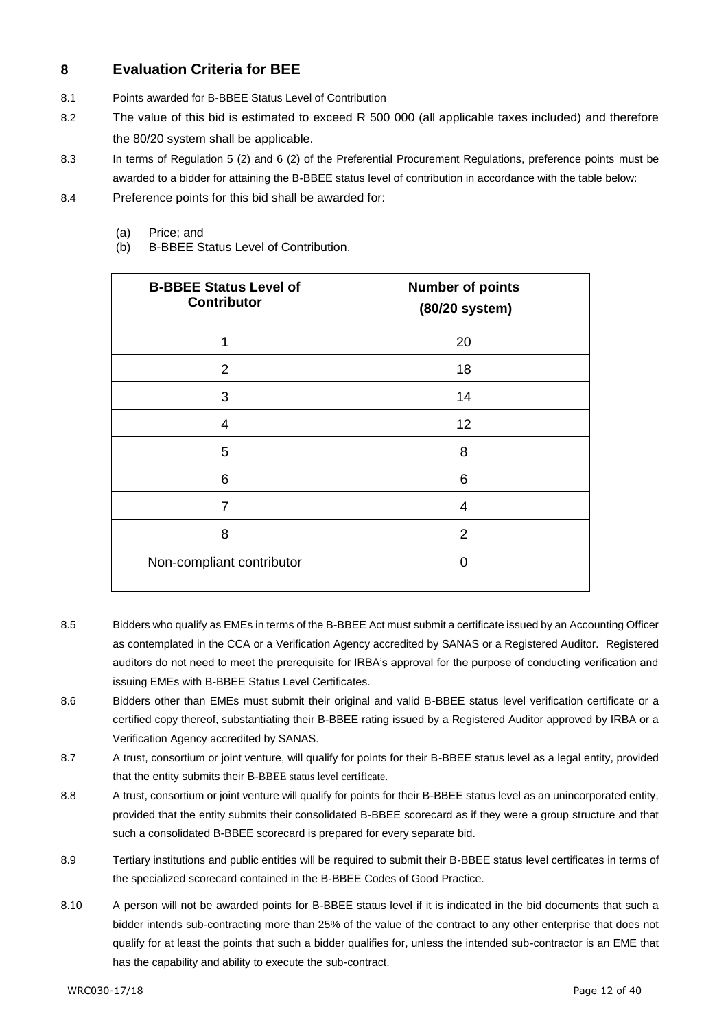### **8 Evaluation Criteria for BEE**

- 8.1 Points awarded for B-BBEE Status Level of Contribution
- 8.2 The value of this bid is estimated to exceed R 500 000 (all applicable taxes included) and therefore the 80/20 system shall be applicable.
- 8.3 In terms of Regulation 5 (2) and 6 (2) of the Preferential Procurement Regulations, preference points must be awarded to a bidder for attaining the B-BBEE status level of contribution in accordance with the table below:
- 8.4 Preference points for this bid shall be awarded for:
	- (a) Price; and
	- (b) B-BBEE Status Level of Contribution.

| <b>B-BBEE Status Level of</b><br><b>Contributor</b> | <b>Number of points</b><br>(80/20 system) |
|-----------------------------------------------------|-------------------------------------------|
| 1                                                   | 20                                        |
| 2                                                   | 18                                        |
| 3                                                   | 14                                        |
| $\overline{4}$                                      | 12                                        |
| 5                                                   | 8                                         |
| 6                                                   | 6                                         |
| 7                                                   | 4                                         |
| 8                                                   | 2                                         |
| Non-compliant contributor                           | O                                         |

- 8.5 Bidders who qualify as EMEs in terms of the B-BBEE Act must submit a certificate issued by an Accounting Officer as contemplated in the CCA or a Verification Agency accredited by SANAS or a Registered Auditor. Registered auditors do not need to meet the prerequisite for IRBA's approval for the purpose of conducting verification and issuing EMEs with B-BBEE Status Level Certificates.
- 8.6 Bidders other than EMEs must submit their original and valid B-BBEE status level verification certificate or a certified copy thereof, substantiating their B-BBEE rating issued by a Registered Auditor approved by IRBA or a Verification Agency accredited by SANAS.
- 8.7 A trust, consortium or joint venture, will qualify for points for their B-BBEE status level as a legal entity, provided that the entity submits their B-BBEE status level certificate.
- 8.8 A trust, consortium or joint venture will qualify for points for their B-BBEE status level as an unincorporated entity, provided that the entity submits their consolidated B-BBEE scorecard as if they were a group structure and that such a consolidated B-BBEE scorecard is prepared for every separate bid.
- 8.9 Tertiary institutions and public entities will be required to submit their B-BBEE status level certificates in terms of the specialized scorecard contained in the B-BBEE Codes of Good Practice.
- 8.10 A person will not be awarded points for B-BBEE status level if it is indicated in the bid documents that such a bidder intends sub-contracting more than 25% of the value of the contract to any other enterprise that does not qualify for at least the points that such a bidder qualifies for, unless the intended sub-contractor is an EME that has the capability and ability to execute the sub-contract.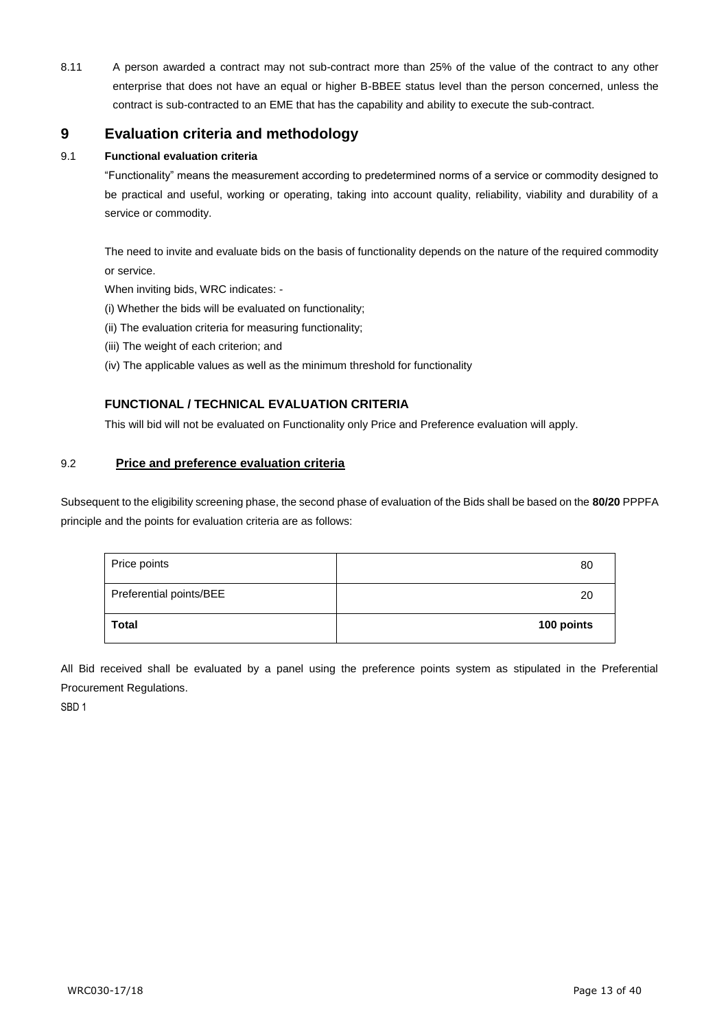8.11 A person awarded a contract may not sub-contract more than 25% of the value of the contract to any other enterprise that does not have an equal or higher B-BBEE status level than the person concerned, unless the contract is sub-contracted to an EME that has the capability and ability to execute the sub-contract.

### **9 Evaluation criteria and methodology**

#### 9.1 **Functional evaluation criteria**

"Functionality" means the measurement according to predetermined norms of a service or commodity designed to be practical and useful, working or operating, taking into account quality, reliability, viability and durability of a service or commodity.

The need to invite and evaluate bids on the basis of functionality depends on the nature of the required commodity or service.

When inviting bids, WRC indicates: -

- (i) Whether the bids will be evaluated on functionality;
- (ii) The evaluation criteria for measuring functionality;
- (iii) The weight of each criterion; and
- (iv) The applicable values as well as the minimum threshold for functionality

#### **FUNCTIONAL / TECHNICAL EVALUATION CRITERIA**

This will bid will not be evaluated on Functionality only Price and Preference evaluation will apply.

#### 9.2 **Price and preference evaluation criteria**

Subsequent to the eligibility screening phase, the second phase of evaluation of the Bids shall be based on the **80/20** PPPFA principle and the points for evaluation criteria are as follows:

| Price points            | 80         |
|-------------------------|------------|
| Preferential points/BEE | 20         |
| <b>Total</b>            | 100 points |

All Bid received shall be evaluated by a panel using the preference points system as stipulated in the Preferential Procurement Regulations.

SBD 1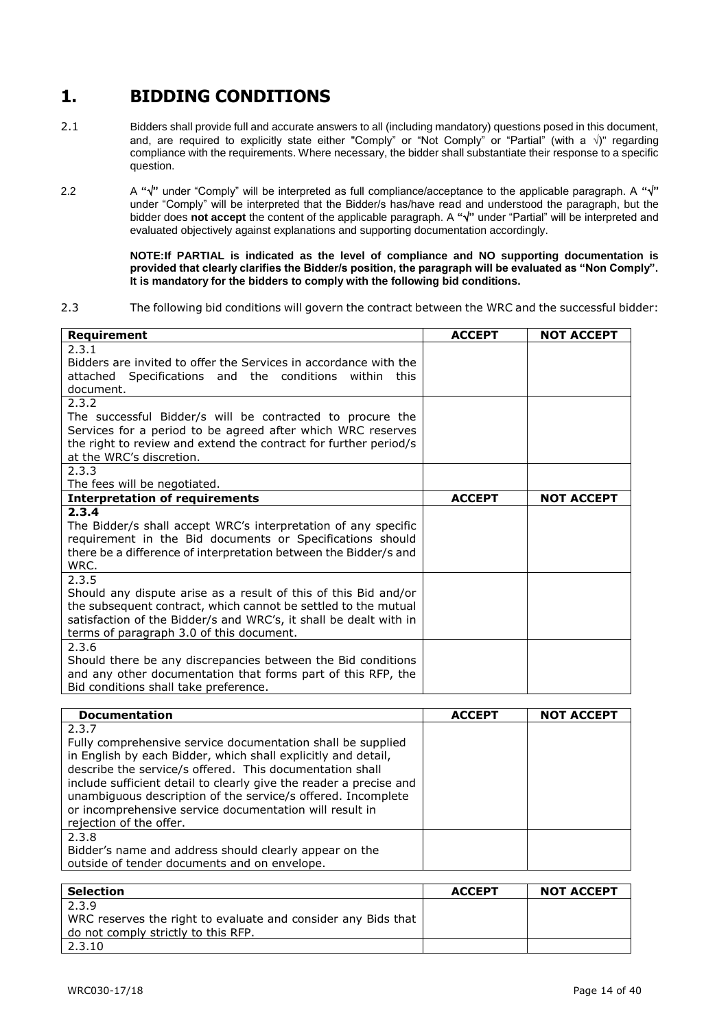# **1. BIDDING CONDITIONS**

- 2.1 Bidders shall provide full and accurate answers to all (including mandatory) questions posed in this document, and, are required to explicitly state either "Comply" or "Not Comply" or "Partial" (with a  $\sqrt{ }$ " regarding compliance with the requirements. Where necessary, the bidder shall substantiate their response to a specific question.
- 2.2 A " $\sqrt{$ " under "Comply" will be interpreted as full compliance/acceptance to the applicable paragraph. A " $\sqrt{$ " under "Comply" will be interpreted that the Bidder/s has/have read and understood the paragraph, but the bidder does **not accept** the content of the applicable paragraph. A **""** under "Partial" will be interpreted and evaluated objectively against explanations and supporting documentation accordingly.

**NOTE:If PARTIAL is indicated as the level of compliance and NO supporting documentation is provided that clearly clarifies the Bidder/s position, the paragraph will be evaluated as "Non Comply". It is mandatory for the bidders to comply with the following bid conditions.**

2.3 The following bid conditions will govern the contract between the WRC and the successful bidder:

| Requirement                                                       | <b>ACCEPT</b> | <b>NOT ACCEPT</b> |
|-------------------------------------------------------------------|---------------|-------------------|
| 2.3.1                                                             |               |                   |
| Bidders are invited to offer the Services in accordance with the  |               |                   |
| attached Specifications and the conditions<br>within<br>this      |               |                   |
| document.                                                         |               |                   |
| 2.3.2                                                             |               |                   |
| The successful Bidder/s will be contracted to procure the         |               |                   |
| Services for a period to be agreed after which WRC reserves       |               |                   |
| the right to review and extend the contract for further period/s  |               |                   |
| at the WRC's discretion.                                          |               |                   |
| 2.3.3                                                             |               |                   |
| The fees will be negotiated.                                      |               |                   |
| <b>Interpretation of requirements</b>                             | <b>ACCEPT</b> | <b>NOT ACCEPT</b> |
| 2.3.4                                                             |               |                   |
| The Bidder/s shall accept WRC's interpretation of any specific    |               |                   |
| requirement in the Bid documents or Specifications should         |               |                   |
| there be a difference of interpretation between the Bidder/s and  |               |                   |
| WRC.                                                              |               |                   |
| 2.3.5                                                             |               |                   |
| Should any dispute arise as a result of this of this Bid and/or   |               |                   |
| the subsequent contract, which cannot be settled to the mutual    |               |                   |
| satisfaction of the Bidder/s and WRC's, it shall be dealt with in |               |                   |
| terms of paragraph 3.0 of this document.                          |               |                   |
| 2.3.6                                                             |               |                   |
| Should there be any discrepancies between the Bid conditions      |               |                   |
| and any other documentation that forms part of this RFP, the      |               |                   |
| Bid conditions shall take preference.                             |               |                   |

| <b>Documentation</b>                                                                                                                                                                                                                                                                                                                                                                                                          | <b>ACCEPT</b> | <b>NOT ACCEPT</b> |
|-------------------------------------------------------------------------------------------------------------------------------------------------------------------------------------------------------------------------------------------------------------------------------------------------------------------------------------------------------------------------------------------------------------------------------|---------------|-------------------|
| 2.3.7<br>Fully comprehensive service documentation shall be supplied<br>in English by each Bidder, which shall explicitly and detail,<br>describe the service/s offered. This documentation shall<br>include sufficient detail to clearly give the reader a precise and<br>unambiguous description of the service/s offered. Incomplete<br>or incomprehensive service documentation will result in<br>rejection of the offer. |               |                   |
| 2.3.8<br>Bidder's name and address should clearly appear on the<br>outside of tender documents and on envelope.                                                                                                                                                                                                                                                                                                               |               |                   |

| <b>Selection</b>                                              | <b>ACCEPT</b> | <b>NOT ACCEPT</b> |
|---------------------------------------------------------------|---------------|-------------------|
| 2.3.9                                                         |               |                   |
| WRC reserves the right to evaluate and consider any Bids that |               |                   |
| do not comply strictly to this RFP.                           |               |                   |
| 2.3.10                                                        |               |                   |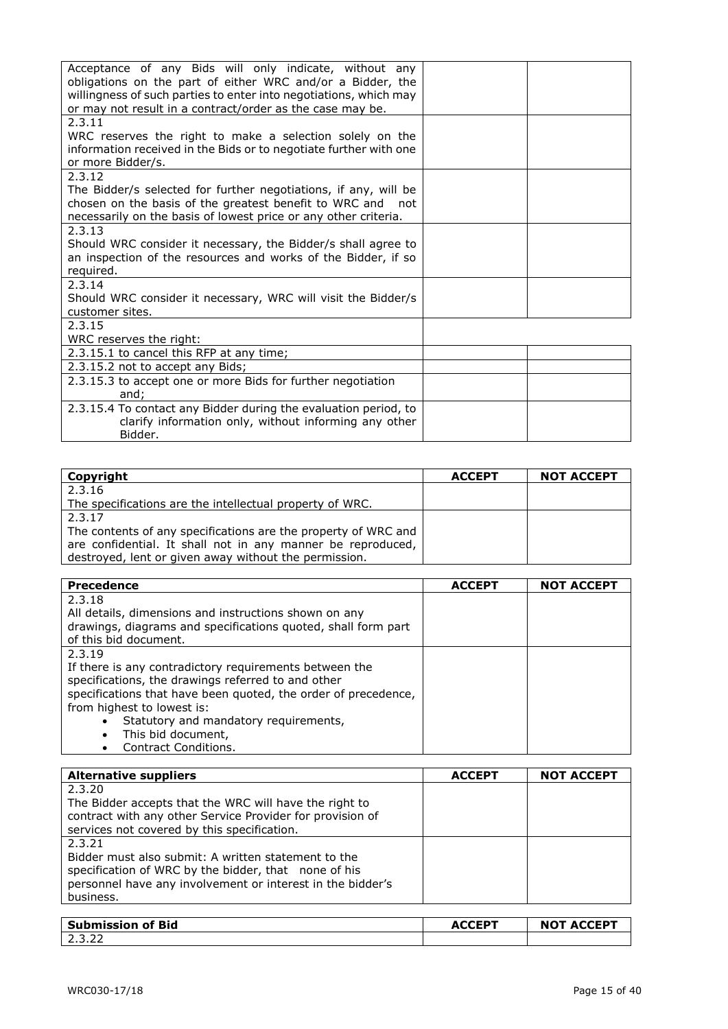| Acceptance of any Bids will only indicate, without any<br>obligations on the part of either WRC and/or a Bidder, the<br>willingness of such parties to enter into negotiations, which may<br>or may not result in a contract/order as the case may be. |  |
|--------------------------------------------------------------------------------------------------------------------------------------------------------------------------------------------------------------------------------------------------------|--|
| 2.3.11<br>WRC reserves the right to make a selection solely on the                                                                                                                                                                                     |  |
| information received in the Bids or to negotiate further with one<br>or more Bidder/s.                                                                                                                                                                 |  |
| 2.3.12                                                                                                                                                                                                                                                 |  |
| The Bidder/s selected for further negotiations, if any, will be                                                                                                                                                                                        |  |
| chosen on the basis of the greatest benefit to WRC and not                                                                                                                                                                                             |  |
| necessarily on the basis of lowest price or any other criteria.                                                                                                                                                                                        |  |
| 2.3.13<br>Should WRC consider it necessary, the Bidder/s shall agree to                                                                                                                                                                                |  |
| an inspection of the resources and works of the Bidder, if so                                                                                                                                                                                          |  |
| required.                                                                                                                                                                                                                                              |  |
| 2.3.14                                                                                                                                                                                                                                                 |  |
| Should WRC consider it necessary, WRC will visit the Bidder/s                                                                                                                                                                                          |  |
| customer sites.                                                                                                                                                                                                                                        |  |
| 2.3.15                                                                                                                                                                                                                                                 |  |
| WRC reserves the right:                                                                                                                                                                                                                                |  |
| 2.3.15.1 to cancel this RFP at any time;                                                                                                                                                                                                               |  |
| 2.3.15.2 not to accept any Bids;                                                                                                                                                                                                                       |  |
| 2.3.15.3 to accept one or more Bids for further negotiation<br>and;                                                                                                                                                                                    |  |
| 2.3.15.4 To contact any Bidder during the evaluation period, to                                                                                                                                                                                        |  |
| clarify information only, without informing any other                                                                                                                                                                                                  |  |
| Bidder.                                                                                                                                                                                                                                                |  |

| Copyright                                                      | <b>ACCEPT</b> | <b>NOT ACCEPT</b> |
|----------------------------------------------------------------|---------------|-------------------|
| 2.3.16                                                         |               |                   |
| The specifications are the intellectual property of WRC.       |               |                   |
| 2.3.17                                                         |               |                   |
| The contents of any specifications are the property of WRC and |               |                   |
| are confidential. It shall not in any manner be reproduced,    |               |                   |
| destroyed, lent or given away without the permission.          |               |                   |

| <b>Precedence</b>                                              | <b>ACCEPT</b> | <b>NOT ACCEPT</b> |
|----------------------------------------------------------------|---------------|-------------------|
| 2.3.18                                                         |               |                   |
| All details, dimensions and instructions shown on any          |               |                   |
| drawings, diagrams and specifications quoted, shall form part  |               |                   |
| of this bid document.                                          |               |                   |
| 2.3.19                                                         |               |                   |
| If there is any contradictory requirements between the         |               |                   |
| specifications, the drawings referred to and other             |               |                   |
| specifications that have been quoted, the order of precedence, |               |                   |
| from highest to lowest is:                                     |               |                   |
| Statutory and mandatory requirements,<br>$\bullet$             |               |                   |
| This bid document,<br>$\bullet$                                |               |                   |
| Contract Conditions.<br>$\bullet$                              |               |                   |

| <b>Alternative suppliers</b>                               | <b>ACCEPT</b> | <b>NOT ACCEPT</b> |
|------------------------------------------------------------|---------------|-------------------|
| 2.3.20                                                     |               |                   |
| The Bidder accepts that the WRC will have the right to     |               |                   |
| contract with any other Service Provider for provision of  |               |                   |
| services not covered by this specification.                |               |                   |
| 2.3.21                                                     |               |                   |
| Bidder must also submit: A written statement to the        |               |                   |
| specification of WRC by the bidder, that none of his       |               |                   |
| personnel have any involvement or interest in the bidder's |               |                   |
| business.                                                  |               |                   |
|                                                            |               |                   |

| Submission of Bid   | <b>ACCEPT</b> | <b>ACCEPT</b><br>NO <sup>-</sup> |
|---------------------|---------------|----------------------------------|
| $\sim$<br>ے ۔ ۔ ۔ ۔ |               |                                  |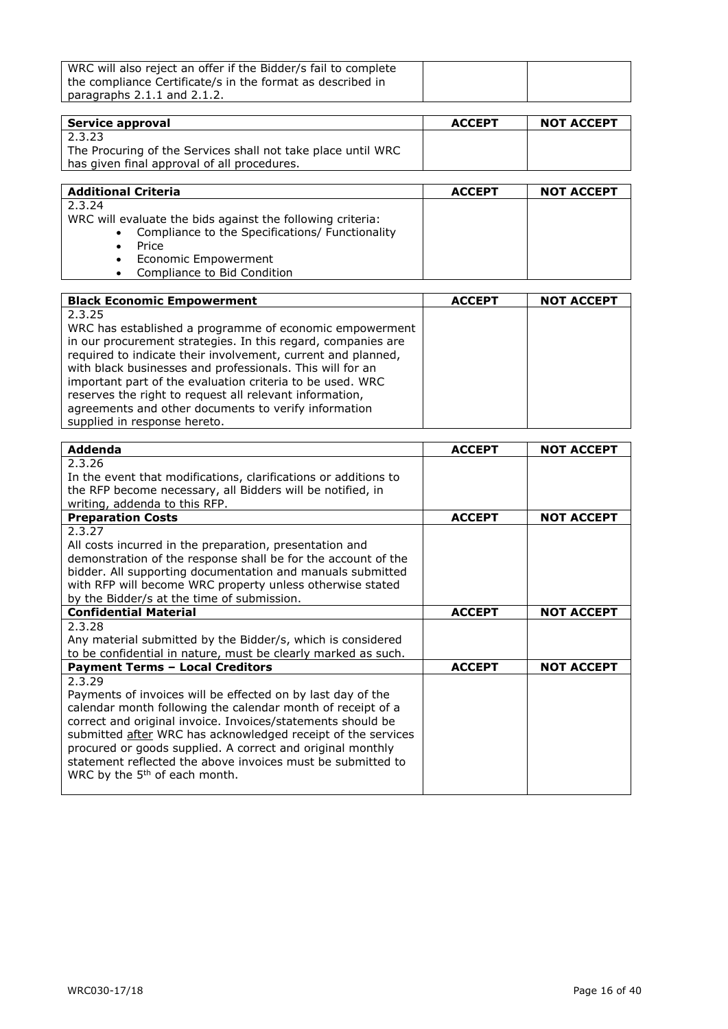| WRC will also reject an offer if the Bidder/s fail to complete |  |
|----------------------------------------------------------------|--|
| the compliance Certificate/s in the format as described in     |  |
| paragraphs $2.1.1$ and $2.1.2$ .                               |  |

| Service approval                                             | <b>ACCEPT</b> | <b>NOT ACCEPT</b> |
|--------------------------------------------------------------|---------------|-------------------|
| 2.3.23                                                       |               |                   |
| The Procuring of the Services shall not take place until WRC |               |                   |
| has given final approval of all procedures.                  |               |                   |

| <b>Additional Criteria</b>                                 | <b>ACCEPT</b> | <b>NOT ACCEPT</b> |
|------------------------------------------------------------|---------------|-------------------|
| 2.3.24                                                     |               |                   |
| WRC will evaluate the bids against the following criteria: |               |                   |
| • Compliance to the Specifications/ Functionality          |               |                   |
| Price                                                      |               |                   |
| • Economic Empowerment                                     |               |                   |
| Compliance to Bid Condition<br>$\bullet$                   |               |                   |

| <b>Black Economic Empowerment</b>                            | <b>ACCEPT</b> | <b>NOT ACCEPT</b> |
|--------------------------------------------------------------|---------------|-------------------|
| 2.3.25                                                       |               |                   |
| WRC has established a programme of economic empowerment      |               |                   |
| in our procurement strategies. In this regard, companies are |               |                   |
| required to indicate their involvement, current and planned, |               |                   |
| with black businesses and professionals. This will for an    |               |                   |
| important part of the evaluation criteria to be used. WRC    |               |                   |
| reserves the right to request all relevant information,      |               |                   |
| agreements and other documents to verify information         |               |                   |
| supplied in response hereto.                                 |               |                   |

| <b>Addenda</b>                                                  | <b>ACCEPT</b> | <b>NOT ACCEPT</b> |
|-----------------------------------------------------------------|---------------|-------------------|
| 2.3.26                                                          |               |                   |
| In the event that modifications, clarifications or additions to |               |                   |
| the RFP become necessary, all Bidders will be notified, in      |               |                   |
| writing, addenda to this RFP.                                   |               |                   |
| <b>Preparation Costs</b>                                        | <b>ACCEPT</b> | <b>NOT ACCEPT</b> |
| 2.3.27                                                          |               |                   |
| All costs incurred in the preparation, presentation and         |               |                   |
| demonstration of the response shall be for the account of the   |               |                   |
| bidder. All supporting documentation and manuals submitted      |               |                   |
| with RFP will become WRC property unless otherwise stated       |               |                   |
| by the Bidder/s at the time of submission.                      |               |                   |
| <b>Confidential Material</b>                                    | <b>ACCEPT</b> | <b>NOT ACCEPT</b> |
| 2.3.28                                                          |               |                   |
| Any material submitted by the Bidder/s, which is considered     |               |                   |
| to be confidential in nature, must be clearly marked as such.   |               |                   |
| <b>Payment Terms - Local Creditors</b>                          | <b>ACCEPT</b> | <b>NOT ACCEPT</b> |
| 2.3.29                                                          |               |                   |
| Payments of invoices will be effected on by last day of the     |               |                   |
| calendar month following the calendar month of receipt of a     |               |                   |
| correct and original invoice. Invoices/statements should be     |               |                   |
| submitted after WRC has acknowledged receipt of the services    |               |                   |
| procured or goods supplied. A correct and original monthly      |               |                   |
| statement reflected the above invoices must be submitted to     |               |                   |
| WRC by the 5 <sup>th</sup> of each month.                       |               |                   |
|                                                                 |               |                   |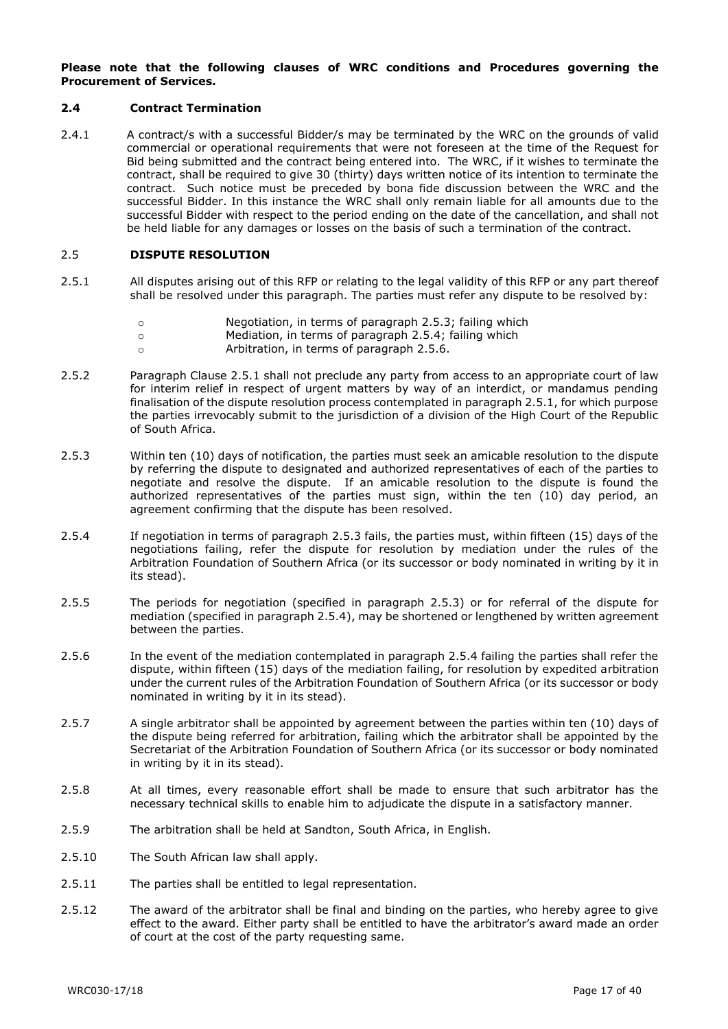#### **Please note that the following clauses of WRC conditions and Procedures governing the Procurement of Services.**

#### **2.4 Contract Termination**

2.4.1 A contract/s with a successful Bidder/s may be terminated by the WRC on the grounds of valid commercial or operational requirements that were not foreseen at the time of the Request for Bid being submitted and the contract being entered into. The WRC, if it wishes to terminate the contract, shall be required to give 30 (thirty) days written notice of its intention to terminate the contract. Such notice must be preceded by bona fide discussion between the WRC and the successful Bidder. In this instance the WRC shall only remain liable for all amounts due to the successful Bidder with respect to the period ending on the date of the cancellation, and shall not be held liable for any damages or losses on the basis of such a termination of the contract.

#### 2.5 **DISPUTE RESOLUTION**

- 2.5.1 All disputes arising out of this RFP or relating to the legal validity of this RFP or any part thereof shall be resolved under this paragraph. The parties must refer any dispute to be resolved by:
	- o Negotiation, in terms of paragraph 2.5.3; failing which
	- o Mediation, in terms of paragraph 2.5.4; failing which
	- o Arbitration, in terms of paragraph 2.5.6.
- 2.5.2 Paragraph Clause 2.5.1 shall not preclude any party from access to an appropriate court of law for interim relief in respect of urgent matters by way of an interdict, or mandamus pending finalisation of the dispute resolution process contemplated in paragraph 2.5.1, for which purpose the parties irrevocably submit to the jurisdiction of a division of the High Court of the Republic of South Africa.
- 2.5.3 Within ten (10) days of notification, the parties must seek an amicable resolution to the dispute by referring the dispute to designated and authorized representatives of each of the parties to negotiate and resolve the dispute. If an amicable resolution to the dispute is found the authorized representatives of the parties must sign, within the ten (10) day period, an agreement confirming that the dispute has been resolved.
- 2.5.4 If negotiation in terms of paragraph 2.5.3 fails, the parties must, within fifteen (15) days of the negotiations failing, refer the dispute for resolution by mediation under the rules of the Arbitration Foundation of Southern Africa (or its successor or body nominated in writing by it in its stead).
- 2.5.5 The periods for negotiation (specified in paragraph 2.5.3) or for referral of the dispute for mediation (specified in paragraph 2.5.4), may be shortened or lengthened by written agreement between the parties.
- 2.5.6 In the event of the mediation contemplated in paragraph 2.5.4 failing the parties shall refer the dispute, within fifteen (15) days of the mediation failing, for resolution by expedited arbitration under the current rules of the Arbitration Foundation of Southern Africa (or its successor or body nominated in writing by it in its stead).
- 2.5.7 A single arbitrator shall be appointed by agreement between the parties within ten (10) days of the dispute being referred for arbitration, failing which the arbitrator shall be appointed by the Secretariat of the Arbitration Foundation of Southern Africa (or its successor or body nominated in writing by it in its stead).
- 2.5.8 At all times, every reasonable effort shall be made to ensure that such arbitrator has the necessary technical skills to enable him to adjudicate the dispute in a satisfactory manner.
- 2.5.9 The arbitration shall be held at Sandton, South Africa, in English.
- 2.5.10 The South African law shall apply.
- 2.5.11 The parties shall be entitled to legal representation.
- 2.5.12 The award of the arbitrator shall be final and binding on the parties, who hereby agree to give effect to the award. Either party shall be entitled to have the arbitrator's award made an order of court at the cost of the party requesting same.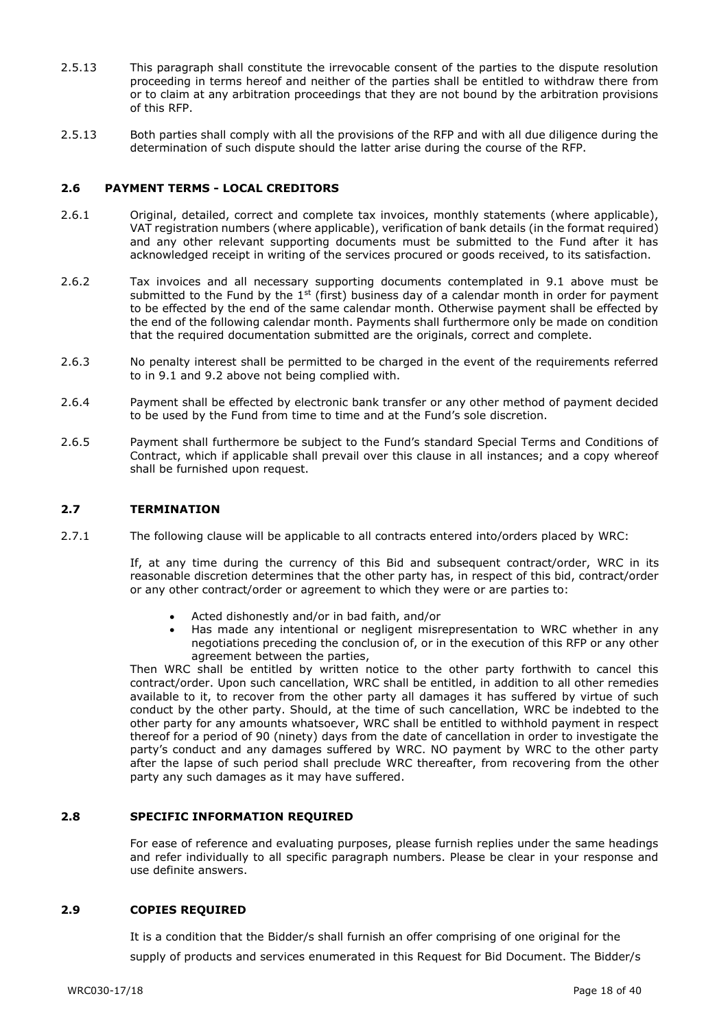- 2.5.13 This paragraph shall constitute the irrevocable consent of the parties to the dispute resolution proceeding in terms hereof and neither of the parties shall be entitled to withdraw there from or to claim at any arbitration proceedings that they are not bound by the arbitration provisions of this RFP.
- 2.5.13 Both parties shall comply with all the provisions of the RFP and with all due diligence during the determination of such dispute should the latter arise during the course of the RFP.

#### **2.6 PAYMENT TERMS - LOCAL CREDITORS**

- 2.6.1 Original, detailed, correct and complete tax invoices, monthly statements (where applicable), VAT registration numbers (where applicable), verification of bank details (in the format required) and any other relevant supporting documents must be submitted to the Fund after it has acknowledged receipt in writing of the services procured or goods received, to its satisfaction.
- 2.6.2 Tax invoices and all necessary supporting documents contemplated in 9.1 above must be submitted to the Fund by the  $1^{st}$  (first) business day of a calendar month in order for payment to be effected by the end of the same calendar month. Otherwise payment shall be effected by the end of the following calendar month. Payments shall furthermore only be made on condition that the required documentation submitted are the originals, correct and complete.
- 2.6.3 No penalty interest shall be permitted to be charged in the event of the requirements referred to in 9.1 and 9.2 above not being complied with.
- 2.6.4 Payment shall be effected by electronic bank transfer or any other method of payment decided to be used by the Fund from time to time and at the Fund's sole discretion.
- 2.6.5 Payment shall furthermore be subject to the Fund's standard Special Terms and Conditions of Contract, which if applicable shall prevail over this clause in all instances; and a copy whereof shall be furnished upon request.

#### **2.7 TERMINATION**

2.7.1 The following clause will be applicable to all contracts entered into/orders placed by WRC:

If, at any time during the currency of this Bid and subsequent contract/order, WRC in its reasonable discretion determines that the other party has, in respect of this bid, contract/order or any other contract/order or agreement to which they were or are parties to:

- Acted dishonestly and/or in bad faith, and/or
- Has made any intentional or negligent misrepresentation to WRC whether in any negotiations preceding the conclusion of, or in the execution of this RFP or any other agreement between the parties,

Then WRC shall be entitled by written notice to the other party forthwith to cancel this contract/order. Upon such cancellation, WRC shall be entitled, in addition to all other remedies available to it, to recover from the other party all damages it has suffered by virtue of such conduct by the other party. Should, at the time of such cancellation, WRC be indebted to the other party for any amounts whatsoever, WRC shall be entitled to withhold payment in respect thereof for a period of 90 (ninety) days from the date of cancellation in order to investigate the party's conduct and any damages suffered by WRC. NO payment by WRC to the other party after the lapse of such period shall preclude WRC thereafter, from recovering from the other party any such damages as it may have suffered.

#### **2.8 SPECIFIC INFORMATION REQUIRED**

For ease of reference and evaluating purposes, please furnish replies under the same headings and refer individually to all specific paragraph numbers. Please be clear in your response and use definite answers.

#### **2.9 COPIES REQUIRED**

It is a condition that the Bidder/s shall furnish an offer comprising of one original for the supply of products and services enumerated in this Request for Bid Document. The Bidder/s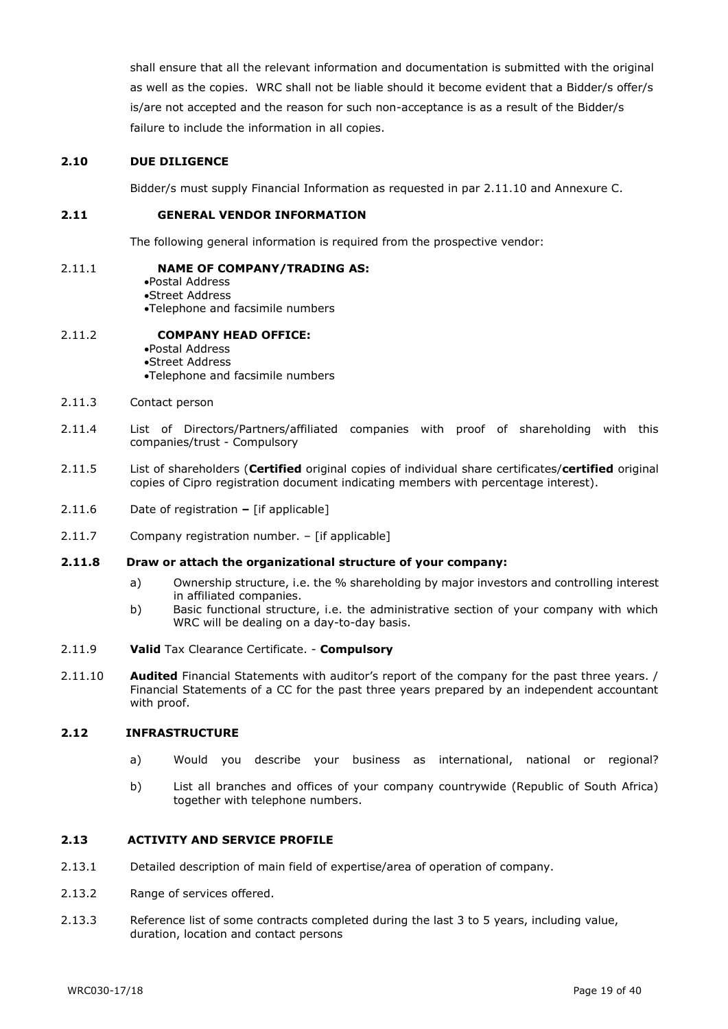shall ensure that all the relevant information and documentation is submitted with the original as well as the copies. WRC shall not be liable should it become evident that a Bidder/s offer/s is/are not accepted and the reason for such non-acceptance is as a result of the Bidder/s failure to include the information in all copies.

#### **2.10 DUE DILIGENCE**

Bidder/s must supply Financial Information as requested in par 2.11.10 and Annexure C.

#### **2.11 GENERAL VENDOR INFORMATION**

The following general information is required from the prospective vendor:

#### 2.11.1 **NAME OF COMPANY/TRADING AS:**

Postal Address Street Address Telephone and facsimile numbers

#### 2.11.2 **COMPANY HEAD OFFICE:**

Postal Address Street Address Telephone and facsimile numbers

- 2.11.3 Contact person
- 2.11.4 List of Directors/Partners/affiliated companies with proof of shareholding with this companies/trust - Compulsory
- 2.11.5 List of shareholders (**Certified** original copies of individual share certificates/**certified** original copies of Cipro registration document indicating members with percentage interest).
- 2.11.6 Date of registration **–** [if applicable]
- 2.11.7 Company registration number. [if applicable]

#### **2.11.8 Draw or attach the organizational structure of your company:**

- a) Ownership structure, i.e. the % shareholding by major investors and controlling interest in affiliated companies.
- b) Basic functional structure, i.e. the administrative section of your company with which WRC will be dealing on a day-to-day basis.
- 2.11.9 **Valid** Tax Clearance Certificate. **Compulsory**
- 2.11.10 **Audited** Financial Statements with auditor's report of the company for the past three years. / Financial Statements of a CC for the past three years prepared by an independent accountant with proof.

#### **2.12 INFRASTRUCTURE**

- a) Would you describe your business as international, national or regional?
- b) List all branches and offices of your company countrywide (Republic of South Africa) together with telephone numbers.

#### **2.13 ACTIVITY AND SERVICE PROFILE**

- 2.13.1 Detailed description of main field of expertise/area of operation of company.
- 2.13.2 Range of services offered.
- 2.13.3 Reference list of some contracts completed during the last 3 to 5 years, including value, duration, location and contact persons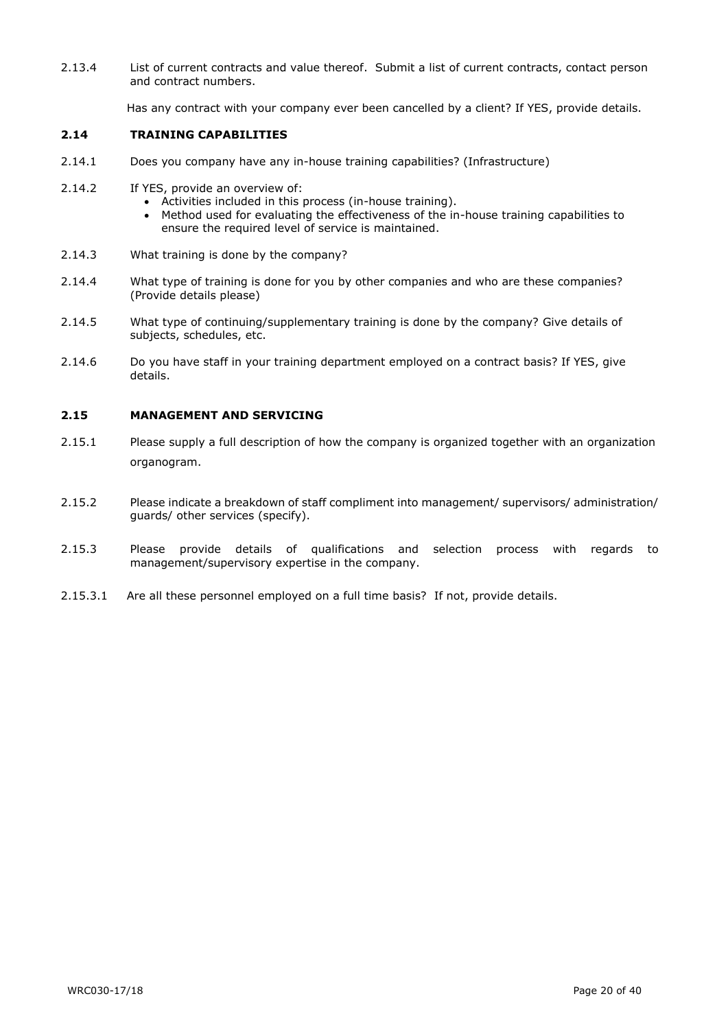2.13.4 List of current contracts and value thereof. Submit a list of current contracts, contact person and contract numbers.

Has any contract with your company ever been cancelled by a client? If YES, provide details.

#### **2.14 TRAINING CAPABILITIES**

- 2.14.1 Does you company have any in-house training capabilities? (Infrastructure)
- 2.14.2 If YES, provide an overview of:
	- Activities included in this process (in-house training).
	- Method used for evaluating the effectiveness of the in-house training capabilities to ensure the required level of service is maintained.
- 2.14.3 What training is done by the company?
- 2.14.4 What type of training is done for you by other companies and who are these companies? (Provide details please)
- 2.14.5 What type of continuing/supplementary training is done by the company? Give details of subjects, schedules, etc.
- 2.14.6 Do you have staff in your training department employed on a contract basis? If YES, give details.

#### **2.15 MANAGEMENT AND SERVICING**

- 2.15.1 Please supply a full description of how the company is organized together with an organization organogram.
- 2.15.2 Please indicate a breakdown of staff compliment into management/ supervisors/ administration/ guards/ other services (specify).
- 2.15.3 Please provide details of qualifications and selection process with regards to management/supervisory expertise in the company.
- 2.15.3.1 Are all these personnel employed on a full time basis? If not, provide details.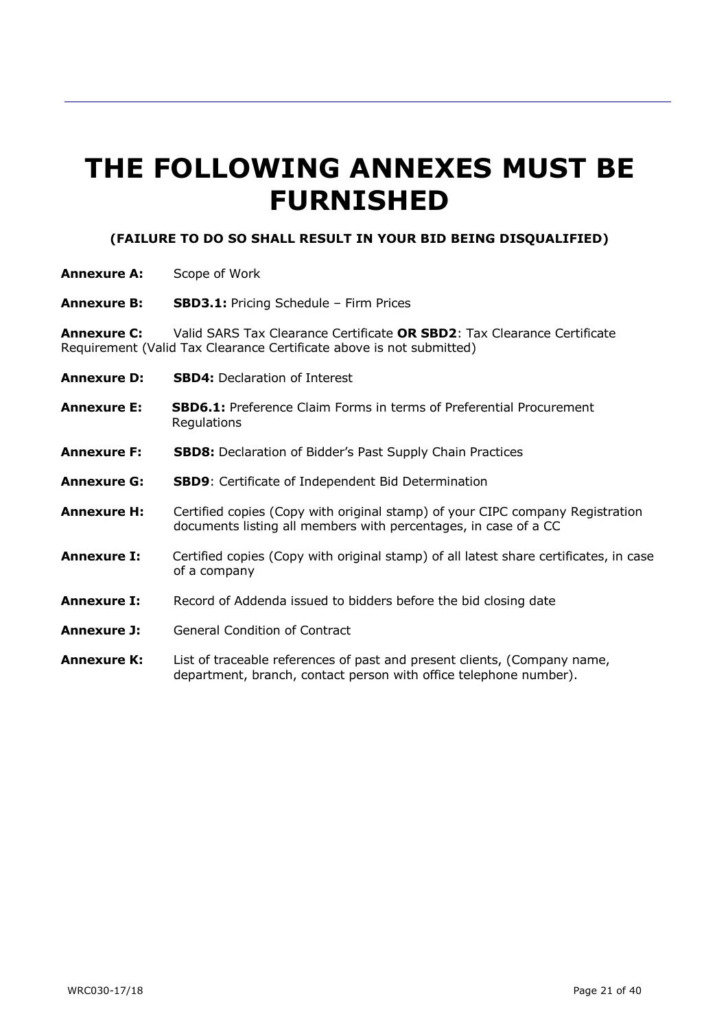# **THE FOLLOWING ANNEXES MUST BE FURNISHED**

### **(FAILURE TO DO SO SHALL RESULT IN YOUR BID BEING DISQUALIFIED)**

- **Annexure A:** Scope of Work
- **Annexure B: SBD3.1:** Pricing Schedule Firm Prices

**Annexure C:** Valid SARS Tax Clearance Certificate **OR SBD2**: Tax Clearance Certificate Requirement (Valid Tax Clearance Certificate above is not submitted)

- **Annexure D: SBD4:** Declaration of Interest
- **Annexure E: SBD6.1:** Preference Claim Forms in terms of Preferential Procurement **Regulations**
- **Annexure F: SBD8:** Declaration of Bidder's Past Supply Chain Practices
- **Annexure G: SBD9**: Certificate of Independent Bid Determination
- **Annexure H:** Certified copies (Copy with original stamp) of your CIPC company Registration documents listing all members with percentages, in case of a CC
- **Annexure I:** Certified copies (Copy with original stamp) of all latest share certificates, in case of a company
- **Annexure I:** Record of Addenda issued to bidders before the bid closing date
- **Annexure J:** General Condition of Contract
- **Annexure K:** List of traceable references of past and present clients, (Company name, department, branch, contact person with office telephone number).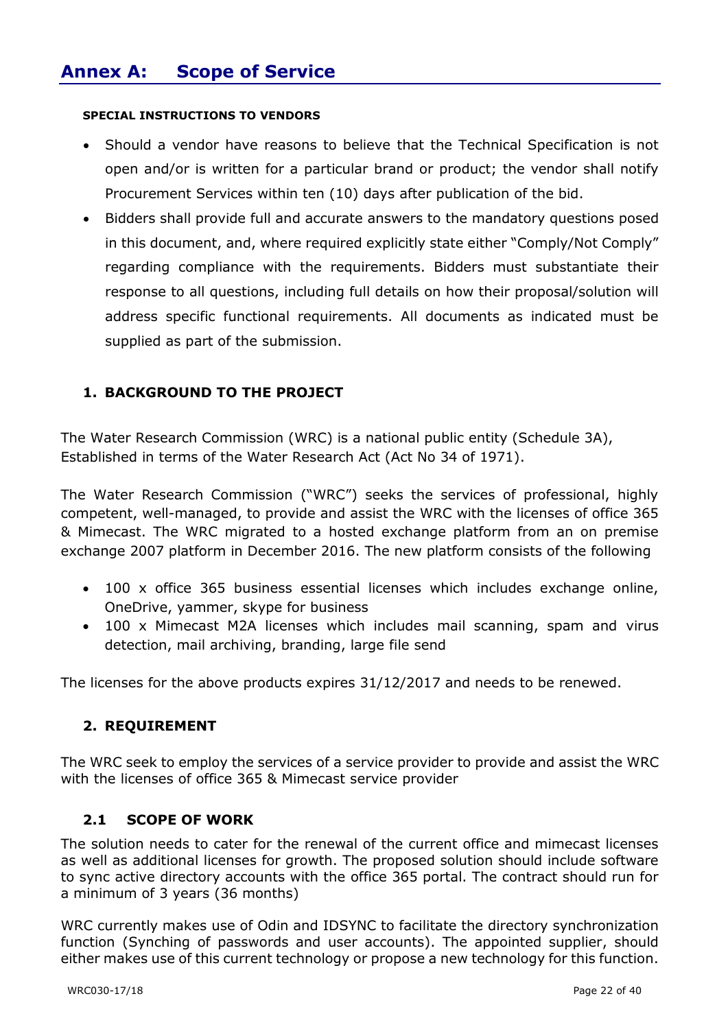### **SPECIAL INSTRUCTIONS TO VENDORS**

- Should a vendor have reasons to believe that the Technical Specification is not open and/or is written for a particular brand or product; the vendor shall notify Procurement Services within ten (10) days after publication of the bid.
- Bidders shall provide full and accurate answers to the mandatory questions posed in this document, and, where required explicitly state either "Comply/Not Comply" regarding compliance with the requirements. Bidders must substantiate their response to all questions, including full details on how their proposal/solution will address specific functional requirements. All documents as indicated must be supplied as part of the submission.

### **1. BACKGROUND TO THE PROJECT**

The Water Research Commission (WRC) is a national public entity (Schedule 3A), Established in terms of the Water Research Act (Act No 34 of 1971).

The Water Research Commission ("WRC") seeks the services of professional, highly competent, well-managed, to provide and assist the WRC with the licenses of office 365 & Mimecast. The WRC migrated to a hosted exchange platform from an on premise exchange 2007 platform in December 2016. The new platform consists of the following

- 100 x office 365 business essential licenses which includes exchange online, OneDrive, yammer, skype for business
- 100 x Mimecast M2A licenses which includes mail scanning, spam and virus detection, mail archiving, branding, large file send

The licenses for the above products expires 31/12/2017 and needs to be renewed.

### **2. REQUIREMENT**

The WRC seek to employ the services of a service provider to provide and assist the WRC with the licenses of office 365 & Mimecast service provider

### **2.1 SCOPE OF WORK**

The solution needs to cater for the renewal of the current office and mimecast licenses as well as additional licenses for growth. The proposed solution should include software to sync active directory accounts with the office 365 portal. The contract should run for a minimum of 3 years (36 months)

WRC currently makes use of Odin and IDSYNC to facilitate the directory synchronization function (Synching of passwords and user accounts). The appointed supplier, should either makes use of this current technology or propose a new technology for this function.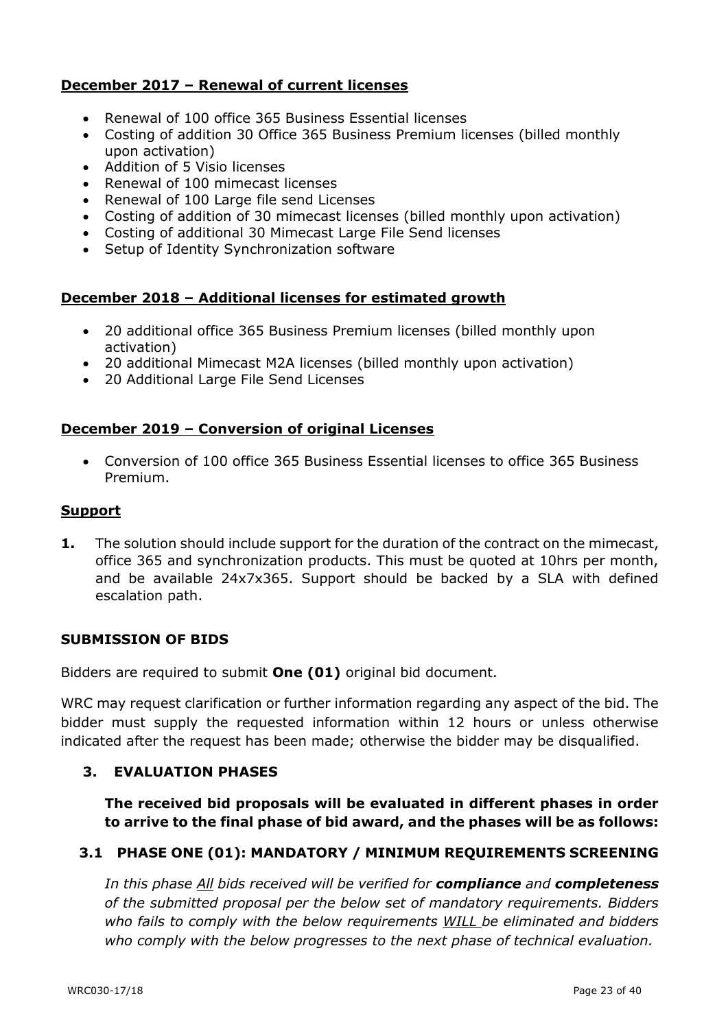### **December 2017 – Renewal of current licenses**

- Renewal of 100 office 365 Business Essential licenses
- Costing of addition 30 Office 365 Business Premium licenses (billed monthly upon activation)
- Addition of 5 Visio licenses
- Renewal of 100 mimecast licenses
- Renewal of 100 Large file send Licenses
- Costing of addition of 30 mimecast licenses (billed monthly upon activation)
- Costing of additional 30 Mimecast Large File Send licenses
- Setup of Identity Synchronization software

### **December 2018 – Additional licenses for estimated growth**

- 20 additional office 365 Business Premium licenses (billed monthly upon activation)
- 20 additional Mimecast M2A licenses (billed monthly upon activation)
- 20 Additional Large File Send Licenses

### **December 2019 – Conversion of original Licenses**

 Conversion of 100 office 365 Business Essential licenses to office 365 Business Premium.

### **Support**

**1.** The solution should include support for the duration of the contract on the mimecast, office 365 and synchronization products. This must be quoted at 10hrs per month, and be available 24x7x365. Support should be backed by a SLA with defined escalation path.

### **SUBMISSION OF BIDS**

Bidders are required to submit **One (01)** original bid document.

WRC may request clarification or further information regarding any aspect of the bid. The bidder must supply the requested information within 12 hours or unless otherwise indicated after the request has been made; otherwise the bidder may be disqualified.

### **3. EVALUATION PHASES**

**The received bid proposals will be evaluated in different phases in order to arrive to the final phase of bid award, and the phases will be as follows:**

### **3.1 PHASE ONE (01): MANDATORY / MINIMUM REQUIREMENTS SCREENING**

*In this phase All bids received will be verified for compliance and completeness of the submitted proposal per the below set of mandatory requirements. Bidders who fails to comply with the below requirements WILL be eliminated and bidders who comply with the below progresses to the next phase of technical evaluation.*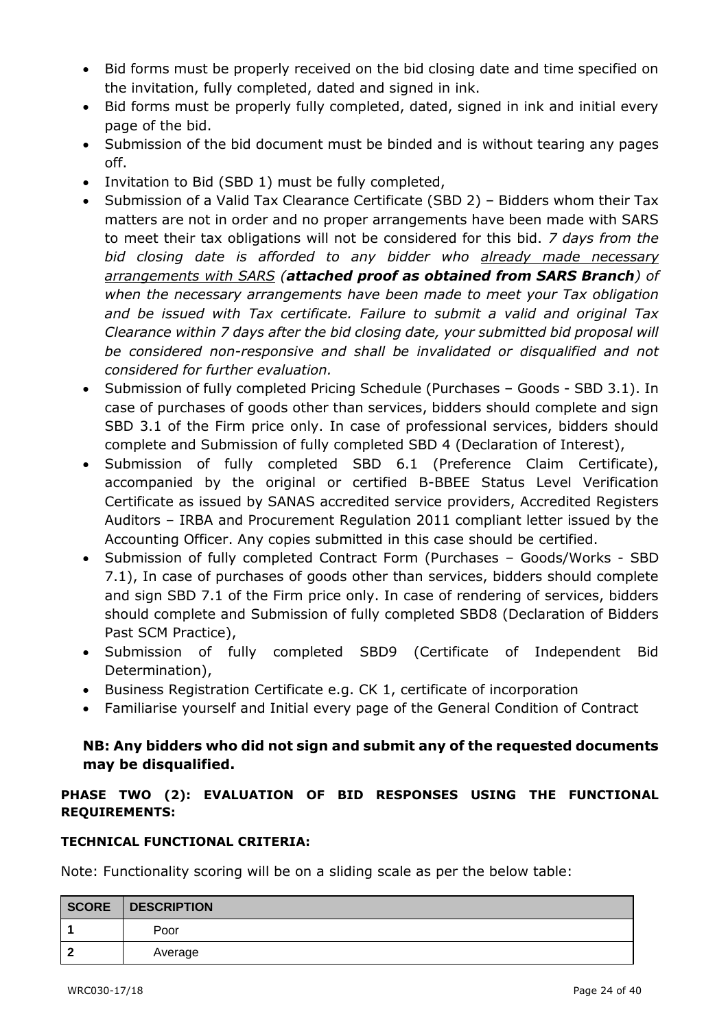- Bid forms must be properly received on the bid closing date and time specified on the invitation, fully completed, dated and signed in ink.
- Bid forms must be properly fully completed, dated, signed in ink and initial every page of the bid.
- Submission of the bid document must be binded and is without tearing any pages off.
- Invitation to Bid (SBD 1) must be fully completed,
- Submission of a Valid Tax Clearance Certificate (SBD 2) Bidders whom their Tax matters are not in order and no proper arrangements have been made with SARS to meet their tax obligations will not be considered for this bid. *7 days from the bid closing date is afforded to any bidder who already made necessary arrangements with SARS (attached proof as obtained from SARS Branch) of when the necessary arrangements have been made to meet your Tax obligation and be issued with Tax certificate. Failure to submit a valid and original Tax Clearance within 7 days after the bid closing date, your submitted bid proposal will be considered non-responsive and shall be invalidated or disqualified and not considered for further evaluation.*
- Submission of fully completed Pricing Schedule (Purchases Goods SBD 3.1). In case of purchases of goods other than services, bidders should complete and sign SBD 3.1 of the Firm price only. In case of professional services, bidders should complete and Submission of fully completed SBD 4 (Declaration of Interest),
- Submission of fully completed SBD 6.1 (Preference Claim Certificate), accompanied by the original or certified B-BBEE Status Level Verification Certificate as issued by SANAS accredited service providers, Accredited Registers Auditors – IRBA and Procurement Regulation 2011 compliant letter issued by the Accounting Officer. Any copies submitted in this case should be certified.
- Submission of fully completed Contract Form (Purchases Goods/Works SBD 7.1), In case of purchases of goods other than services, bidders should complete and sign SBD 7.1 of the Firm price only. In case of rendering of services, bidders should complete and Submission of fully completed SBD8 (Declaration of Bidders Past SCM Practice),
- Submission of fully completed SBD9 (Certificate of Independent Bid Determination),
- Business Registration Certificate e.g. CK 1, certificate of incorporation
- Familiarise yourself and Initial every page of the General Condition of Contract

### **NB: Any bidders who did not sign and submit any of the requested documents may be disqualified.**

### **PHASE TWO (2): EVALUATION OF BID RESPONSES USING THE FUNCTIONAL REQUIREMENTS:**

### **TECHNICAL FUNCTIONAL CRITERIA:**

Note: Functionality scoring will be on a sliding scale as per the below table:

| SCORE | DESCRIPTION |
|-------|-------------|
|       | Poor        |
|       | Average     |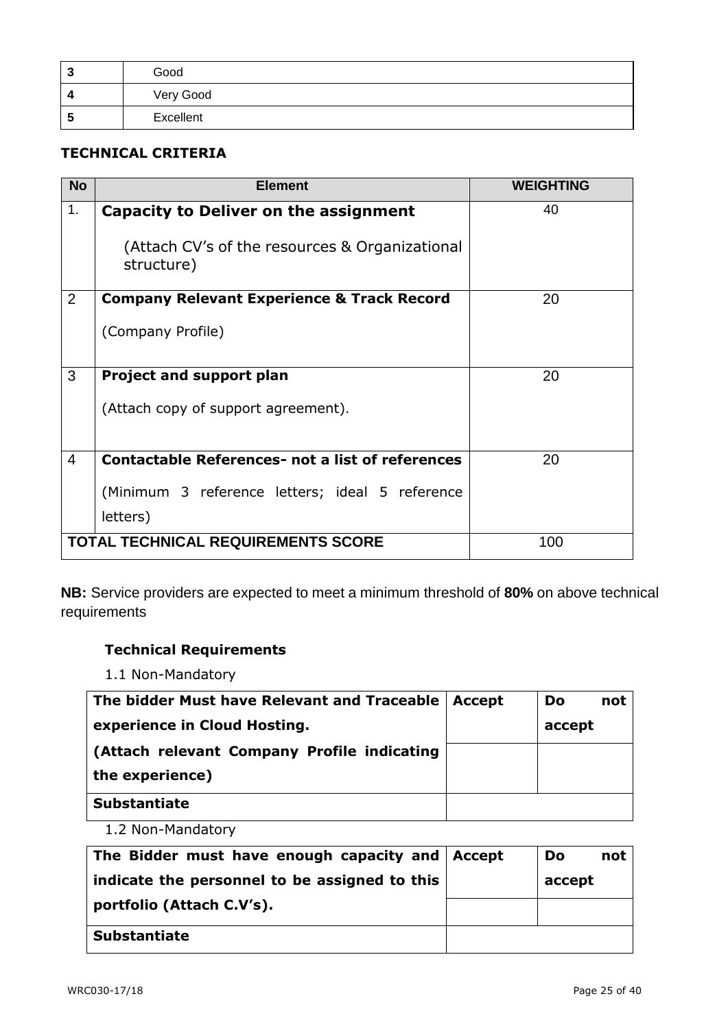| w | Good      |
|---|-----------|
|   | Very Good |
| 5 | Excellent |

### **TECHNICAL CRITERIA**

| <b>No</b>      | <b>Element</b>                                               | <b>WEIGHTING</b> |
|----------------|--------------------------------------------------------------|------------------|
| 1.             | Capacity to Deliver on the assignment                        | 40               |
|                | (Attach CV's of the resources & Organizational<br>structure) |                  |
| 2              | <b>Company Relevant Experience &amp; Track Record</b>        | 20               |
|                | (Company Profile)                                            |                  |
| 3              | <b>Project and support plan</b>                              | 20               |
|                | (Attach copy of support agreement).                          |                  |
| $\overline{4}$ | <b>Contactable References- not a list of references</b>      | 20               |
|                | (Minimum 3 reference letters; ideal 5 reference<br>letters)  |                  |
|                | <b>TOTAL TECHNICAL REQUIREMENTS SCORE</b>                    | 100              |

**NB:** Service providers are expected to meet a minimum threshold of **80%** on above technical requirements

### **Technical Requirements**

1.1 Non-Mandatory

| The bidder Must have Relevant and Traceable   Accept | <b>Do</b><br>not |
|------------------------------------------------------|------------------|
| experience in Cloud Hosting.                         | accept           |
| (Attach relevant Company Profile indicating          |                  |
| the experience)                                      |                  |
| <b>Substantiate</b>                                  |                  |

1.2 Non-Mandatory

| The Bidder must have enough capacity and Accept | not<br>Do |
|-------------------------------------------------|-----------|
| indicate the personnel to be assigned to this   | accept    |
| portfolio (Attach C.V's).                       |           |
| <b>Substantiate</b>                             |           |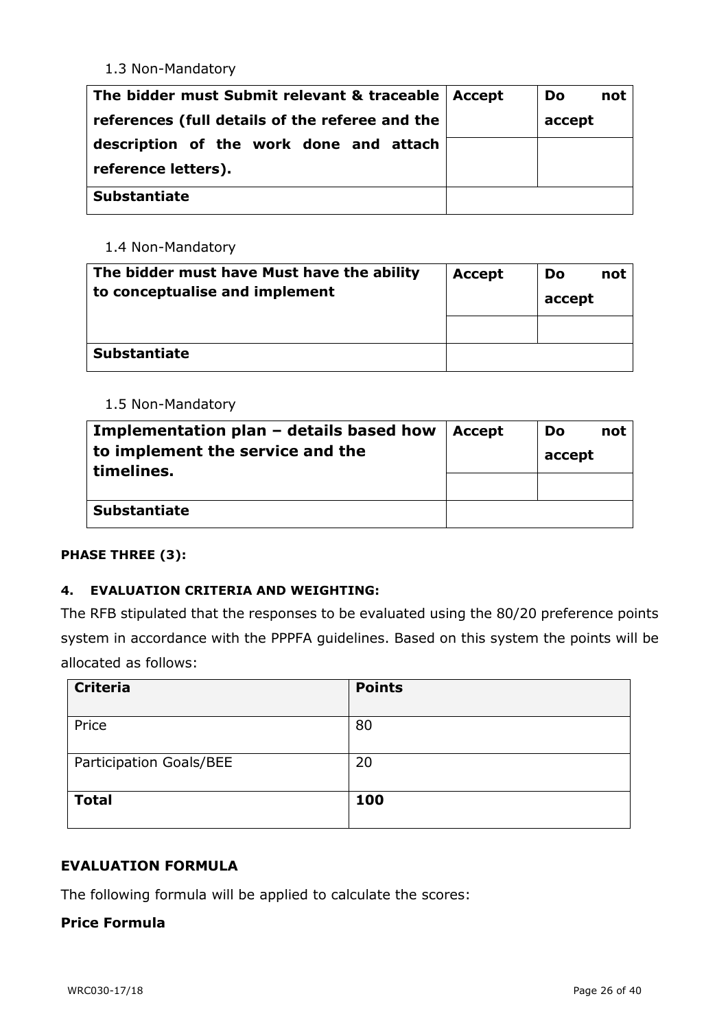### 1.3 Non-Mandatory

| The bidder must Submit relevant & traceable   Accept | <b>Do</b><br>not |
|------------------------------------------------------|------------------|
| references (full details of the referee and the      | accept           |
| description of the work done and attach              |                  |
| reference letters).                                  |                  |
| <b>Substantiate</b>                                  |                  |

### 1.4 Non-Mandatory

| The bidder must have Must have the ability<br>to conceptualise and implement | <b>Accept</b> | Do<br>not<br>accept |
|------------------------------------------------------------------------------|---------------|---------------------|
|                                                                              |               |                     |
| <b>Substantiate</b>                                                          |               |                     |

### 1.5 Non-Mandatory

| Implementation plan $-$ details based how<br>to implement the service and the<br>timelines. | <b>Accept</b> | Do<br>not<br>accept |
|---------------------------------------------------------------------------------------------|---------------|---------------------|
| <b>Substantiate</b>                                                                         |               |                     |

### **PHASE THREE (3):**

### **4. EVALUATION CRITERIA AND WEIGHTING:**

The RFB stipulated that the responses to be evaluated using the 80/20 preference points system in accordance with the PPPFA guidelines. Based on this system the points will be allocated as follows:

| <b>Criteria</b>         | <b>Points</b> |
|-------------------------|---------------|
| Price                   | 80            |
| Participation Goals/BEE | 20            |
| <b>Total</b>            | 100           |

### **EVALUATION FORMULA**

The following formula will be applied to calculate the scores:

### **Price Formula**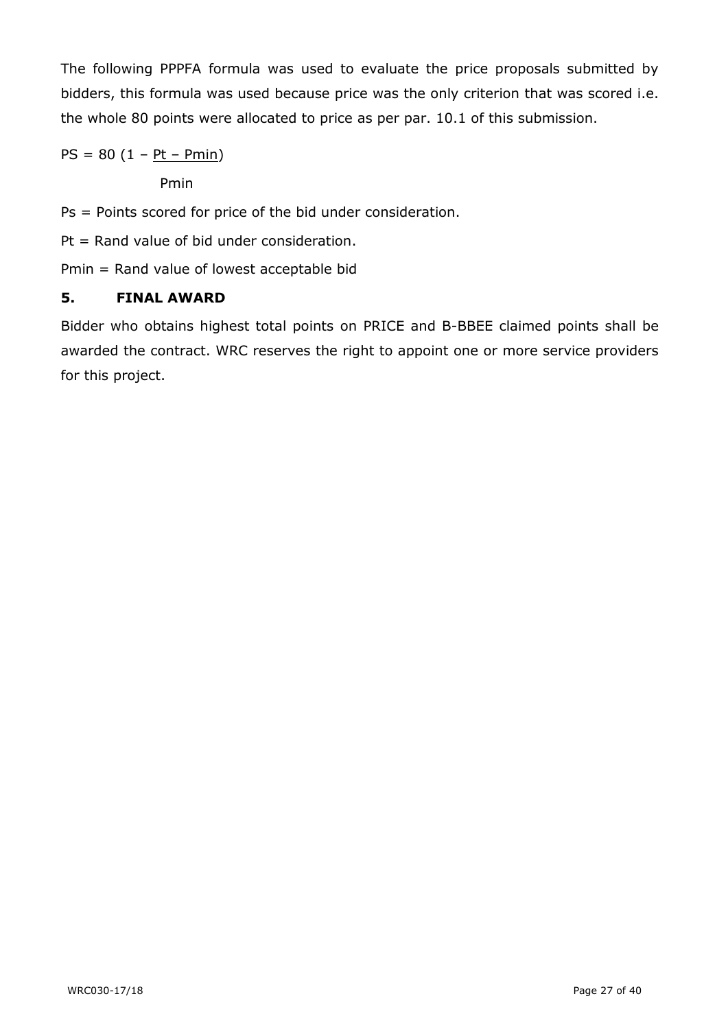The following PPPFA formula was used to evaluate the price proposals submitted by bidders, this formula was used because price was the only criterion that was scored i.e. the whole 80 points were allocated to price as per par. 10.1 of this submission.

 $PS = 80 (1 - Pt - Pmin)$ 

Pmin

Ps = Points scored for price of the bid under consideration.

Pt = Rand value of bid under consideration.

Pmin = Rand value of lowest acceptable bid

### **5. FINAL AWARD**

Bidder who obtains highest total points on PRICE and B-BBEE claimed points shall be awarded the contract. WRC reserves the right to appoint one or more service providers for this project.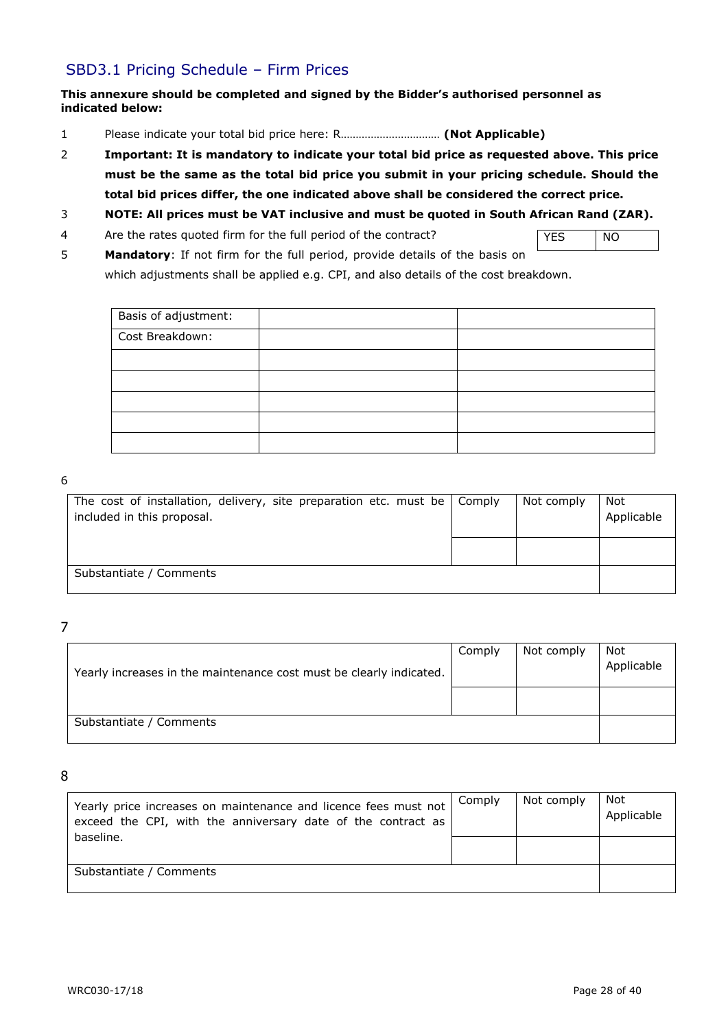### SBD3.1 Pricing Schedule – Firm Prices

#### **This annexure should be completed and signed by the Bidder's authorised personnel as indicated below:**

- 1 Please indicate your total bid price here: R…………………………… **(Not Applicable)**
- 2 **Important: It is mandatory to indicate your total bid price as requested above. This price must be the same as the total bid price you submit in your pricing schedule. Should the total bid prices differ, the one indicated above shall be considered the correct price.**
- 3 **NOTE: All prices must be VAT inclusive and must be quoted in South African Rand (ZAR).**
- 4 Are the rates quoted firm for the full period of the contract?
- YES NO
- 5 **Mandatory**: If not firm for the full period, provide details of the basis on which adjustments shall be applied e.g. CPI, and also details of the cost breakdown.

| Basis of adjustment: |  |
|----------------------|--|
| Cost Breakdown:      |  |
|                      |  |
|                      |  |
|                      |  |
|                      |  |
|                      |  |

#### 6

| The cost of installation, delivery, site preparation etc. must be $\vert$ Comply<br>included in this proposal. | Not comply | Not<br>Applicable |
|----------------------------------------------------------------------------------------------------------------|------------|-------------------|
|                                                                                                                |            |                   |
| Substantiate / Comments                                                                                        |            |                   |

7

| Yearly increases in the maintenance cost must be clearly indicated. | Comply | Not comply | Not<br>Applicable |
|---------------------------------------------------------------------|--------|------------|-------------------|
|                                                                     |        |            |                   |
| Substantiate / Comments                                             |        |            |                   |

8

| Yearly price increases on maintenance and licence fees must not<br>exceed the CPI, with the anniversary date of the contract as | Comply | Not comply | Not<br>Applicable |
|---------------------------------------------------------------------------------------------------------------------------------|--------|------------|-------------------|
| baseline.                                                                                                                       |        |            |                   |
| Substantiate / Comments                                                                                                         |        |            |                   |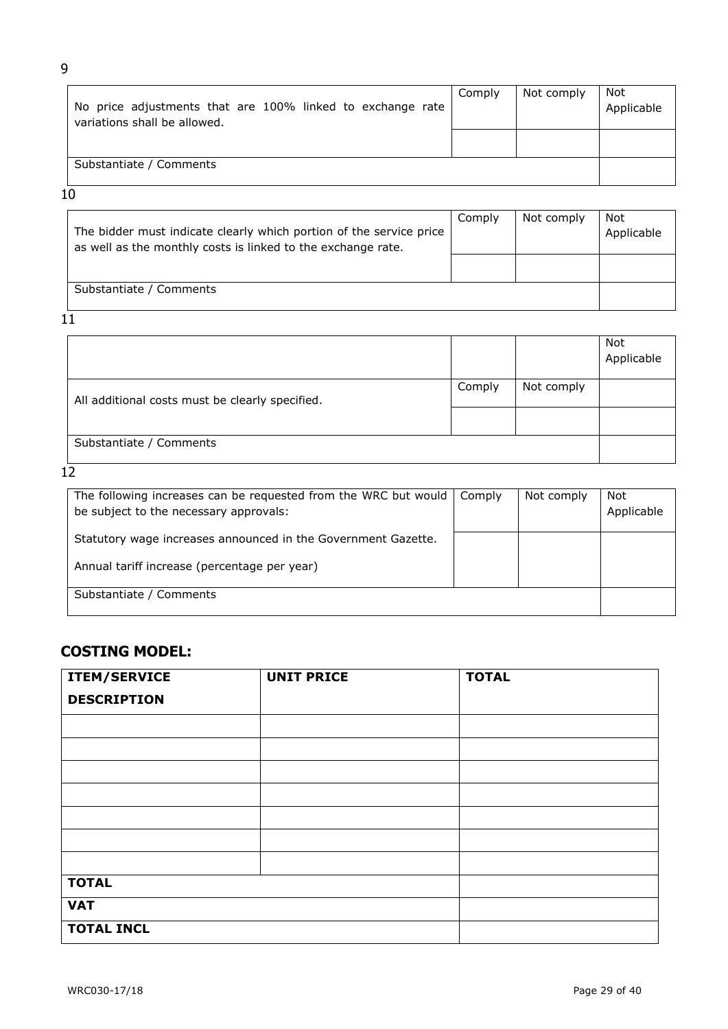| No price adjustments that are 100% linked to exchange rate<br>variations shall be allowed. | Comply | Not comply | Not<br>Applicable |
|--------------------------------------------------------------------------------------------|--------|------------|-------------------|
|                                                                                            |        |            |                   |
| Substantiate / Comments                                                                    |        |            |                   |

#### 10

| The bidder must indicate clearly which portion of the service price<br>as well as the monthly costs is linked to the exchange rate. | Comply | Not comply | Not<br>Applicable |
|-------------------------------------------------------------------------------------------------------------------------------------|--------|------------|-------------------|
|                                                                                                                                     |        |            |                   |
| Substantiate / Comments                                                                                                             |        |            |                   |

 $11$ 

|                                                 |        |            | Not<br>Applicable |
|-------------------------------------------------|--------|------------|-------------------|
| All additional costs must be clearly specified. | Comply | Not comply |                   |
|                                                 |        |            |                   |
| Substantiate / Comments                         |        |            |                   |

 $12$ 

| The following increases can be requested from the WRC but would<br>be subject to the necessary approvals: | Comply | Not comply | Not<br>Applicable |
|-----------------------------------------------------------------------------------------------------------|--------|------------|-------------------|
| Statutory wage increases announced in the Government Gazette.                                             |        |            |                   |
| Annual tariff increase (percentage per year)                                                              |        |            |                   |
| Substantiate / Comments                                                                                   |        |            |                   |

## **COSTING MODEL:**

| <b>ITEM/SERVICE</b> | <b>UNIT PRICE</b> | <b>TOTAL</b> |
|---------------------|-------------------|--------------|
| <b>DESCRIPTION</b>  |                   |              |
|                     |                   |              |
|                     |                   |              |
|                     |                   |              |
|                     |                   |              |
|                     |                   |              |
|                     |                   |              |
|                     |                   |              |
| <b>TOTAL</b>        |                   |              |
| <b>VAT</b>          |                   |              |
| <b>TOTAL INCL</b>   |                   |              |

9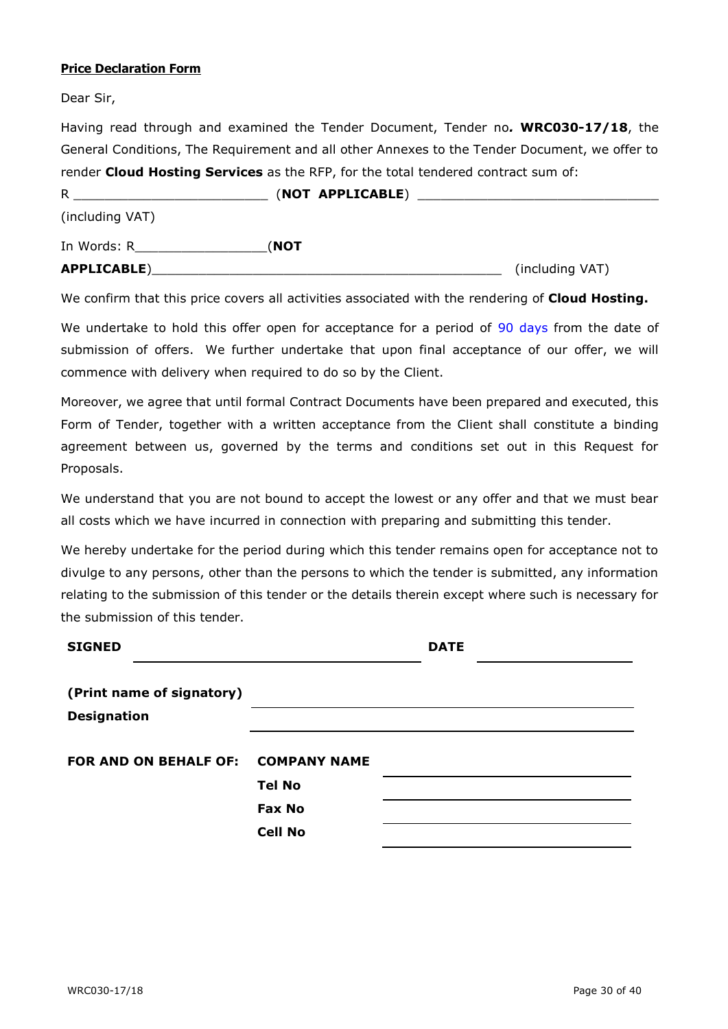#### **Price Declaration Form**

Dear Sir,

Having read through and examined the Tender Document, Tender no*.* **WRC030-17/18**, the General Conditions, The Requirement and all other Annexes to the Tender Document, we offer to render **Cloud Hosting Services** as the RFP, for the total tendered contract sum of:

| R               | (NOT APPLICABLE) |                 |  |
|-----------------|------------------|-----------------|--|
| (including VAT) |                  |                 |  |
| In Words: R     | (NOT             |                 |  |
| APPLICABLE)     |                  | (including VAT) |  |

We confirm that this price covers all activities associated with the rendering of **Cloud Hosting.**

We undertake to hold this offer open for acceptance for a period of 90 days from the date of submission of offers. We further undertake that upon final acceptance of our offer, we will commence with delivery when required to do so by the Client.

Moreover, we agree that until formal Contract Documents have been prepared and executed, this Form of Tender, together with a written acceptance from the Client shall constitute a binding agreement between us, governed by the terms and conditions set out in this Request for Proposals.

We understand that you are not bound to accept the lowest or any offer and that we must bear all costs which we have incurred in connection with preparing and submitting this tender.

We hereby undertake for the period during which this tender remains open for acceptance not to divulge to any persons, other than the persons to which the tender is submitted, any information relating to the submission of this tender or the details therein except where such is necessary for the submission of this tender.

| <b>SIGNED</b>                      |                | <b>DATE</b> |  |
|------------------------------------|----------------|-------------|--|
| (Print name of signatory)          |                |             |  |
| <b>Designation</b>                 |                |             |  |
| FOR AND ON BEHALF OF: COMPANY NAME |                |             |  |
|                                    | <b>Tel No</b>  |             |  |
|                                    | <b>Fax No</b>  |             |  |
|                                    | <b>Cell No</b> |             |  |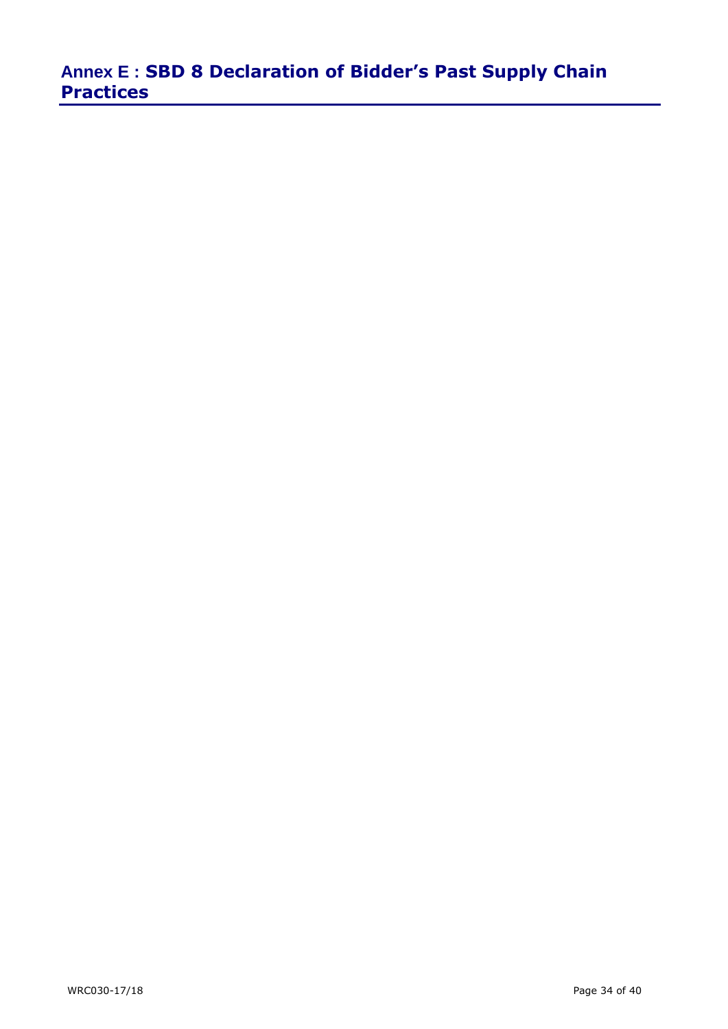# **Annex E : SBD 8 Declaration of Bidder's Past Supply Chain Practices**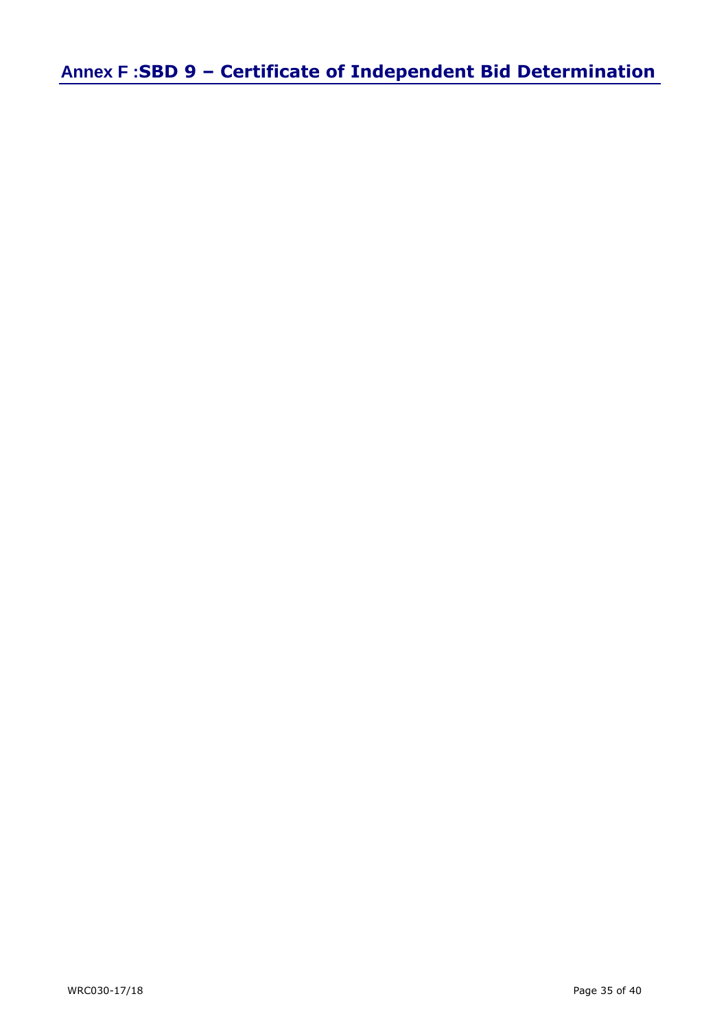**Annex F :SBD 9 – Certificate of Independent Bid Determination**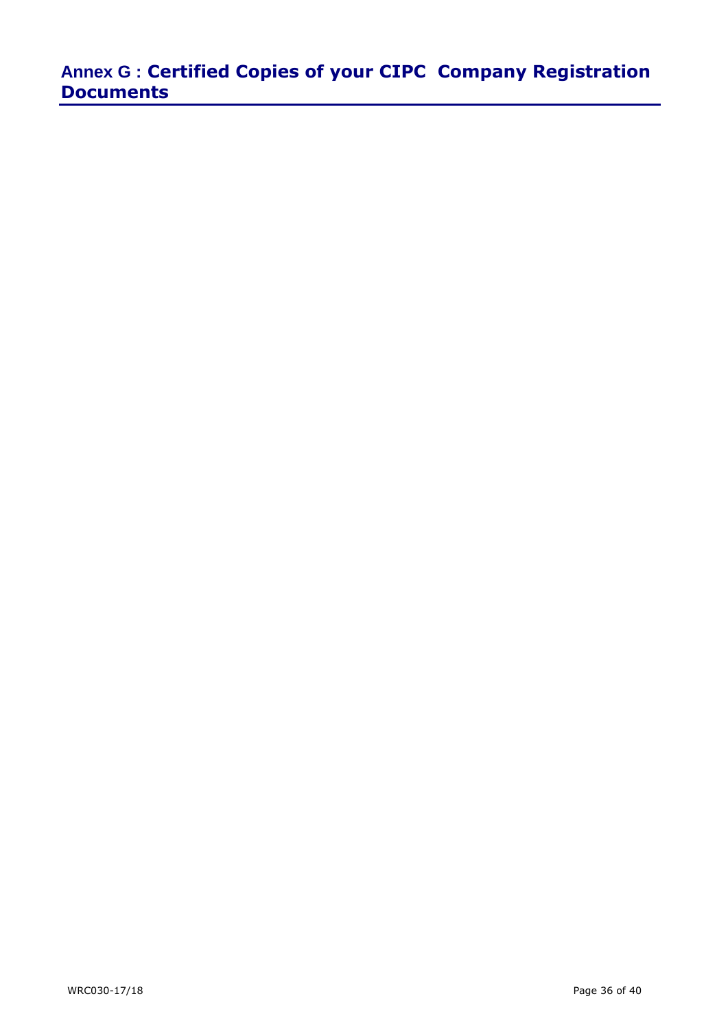# **Annex G : Certified Copies of your CIPC Company Registration Documents**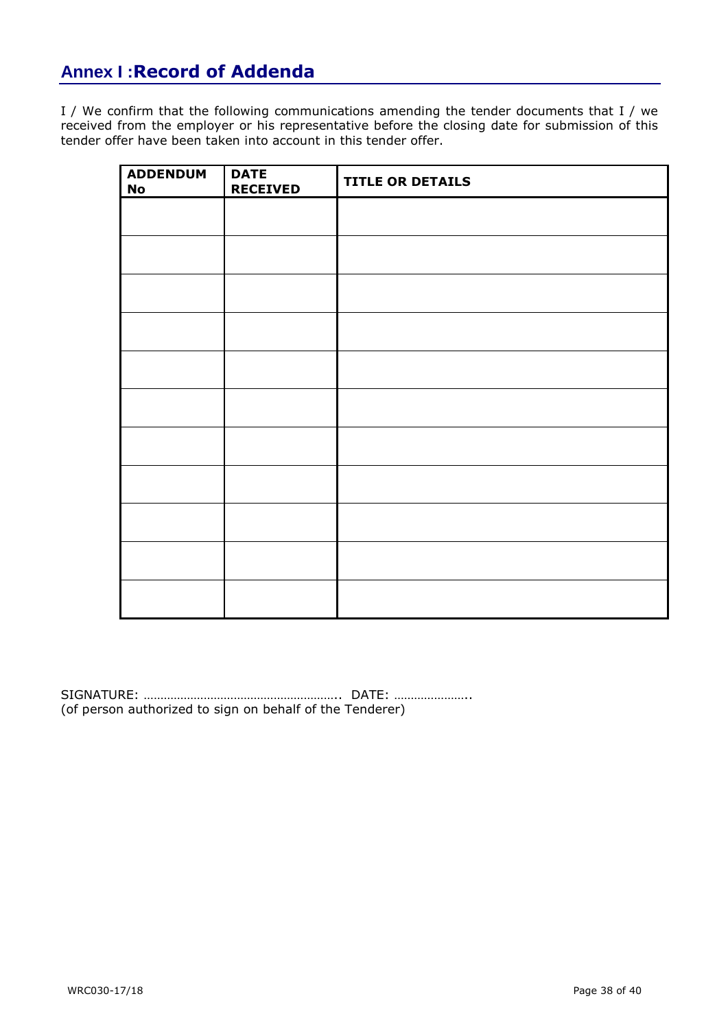# **Annex I :Record of Addenda**

I / We confirm that the following communications amending the tender documents that I / we received from the employer or his representative before the closing date for submission of this tender offer have been taken into account in this tender offer.

| <b>ADDENDUM</b><br>No | <b>DATE</b><br><b>RECEIVED</b> | <b>TITLE OR DETAILS</b> |
|-----------------------|--------------------------------|-------------------------|
|                       |                                |                         |
|                       |                                |                         |
|                       |                                |                         |
|                       |                                |                         |
|                       |                                |                         |
|                       |                                |                         |
|                       |                                |                         |
|                       |                                |                         |
|                       |                                |                         |
|                       |                                |                         |
|                       |                                |                         |

SIGNATURE: ………………………………………………….. DATE: ………………….. (of person authorized to sign on behalf of the Tenderer)